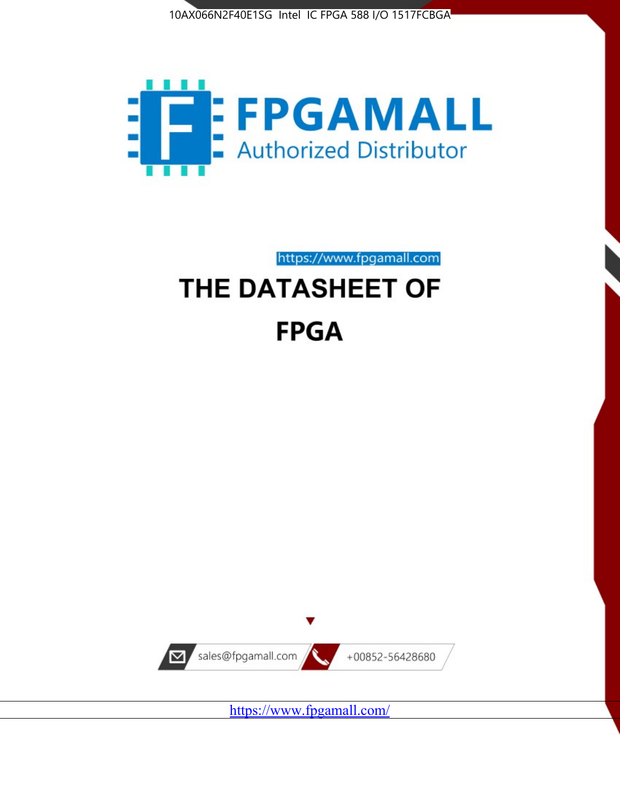



https://www.fpgamall.com

# THE DATASHEET OF **FPGA**



<https://www.fpgamall.com/>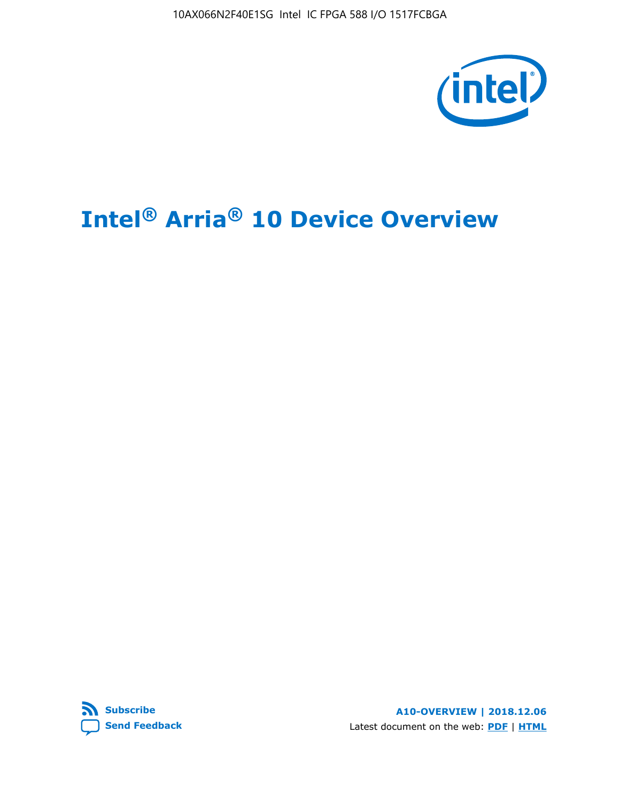10AX066N2F40E1SG Intel IC FPGA 588 I/O 1517FCBGA



# **Intel® Arria® 10 Device Overview**



**A10-OVERVIEW | 2018.12.06** Latest document on the web: **[PDF](https://www.intel.com/content/dam/www/programmable/us/en/pdfs/literature/hb/arria-10/a10_overview.pdf)** | **[HTML](https://www.intel.com/content/www/us/en/programmable/documentation/sam1403480274650.html)**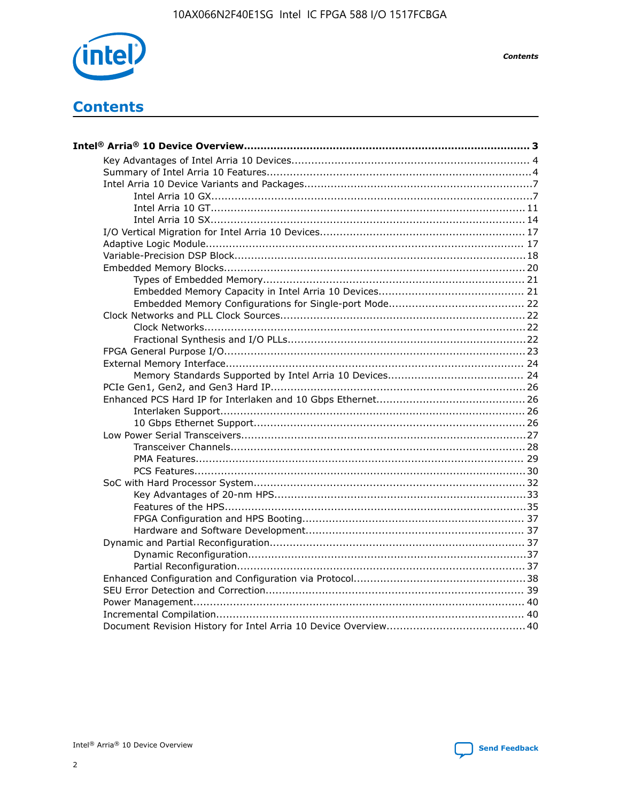

**Contents** 

# **Contents**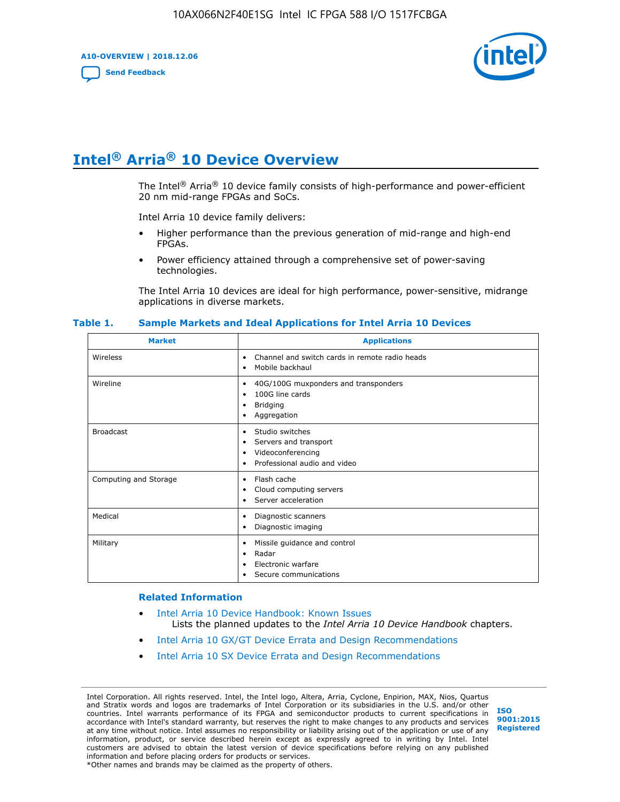**A10-OVERVIEW | 2018.12.06**

**[Send Feedback](mailto:FPGAtechdocfeedback@intel.com?subject=Feedback%20on%20Intel%20Arria%2010%20Device%20Overview%20(A10-OVERVIEW%202018.12.06)&body=We%20appreciate%20your%20feedback.%20In%20your%20comments,%20also%20specify%20the%20page%20number%20or%20paragraph.%20Thank%20you.)**



# **Intel® Arria® 10 Device Overview**

The Intel<sup>®</sup> Arria<sup>®</sup> 10 device family consists of high-performance and power-efficient 20 nm mid-range FPGAs and SoCs.

Intel Arria 10 device family delivers:

- Higher performance than the previous generation of mid-range and high-end FPGAs.
- Power efficiency attained through a comprehensive set of power-saving technologies.

The Intel Arria 10 devices are ideal for high performance, power-sensitive, midrange applications in diverse markets.

| <b>Market</b>         | <b>Applications</b>                                                                                               |
|-----------------------|-------------------------------------------------------------------------------------------------------------------|
| Wireless              | Channel and switch cards in remote radio heads<br>٠<br>Mobile backhaul<br>٠                                       |
| Wireline              | 40G/100G muxponders and transponders<br>٠<br>100G line cards<br>٠<br><b>Bridging</b><br>٠<br>Aggregation<br>٠     |
| <b>Broadcast</b>      | Studio switches<br>٠<br>Servers and transport<br>٠<br>Videoconferencing<br>٠<br>Professional audio and video<br>٠ |
| Computing and Storage | Flash cache<br>٠<br>Cloud computing servers<br>٠<br>Server acceleration<br>٠                                      |
| Medical               | Diagnostic scanners<br>٠<br>Diagnostic imaging<br>٠                                                               |
| Military              | Missile guidance and control<br>٠<br>Radar<br>٠<br>Electronic warfare<br>٠<br>Secure communications<br>٠          |

#### **Table 1. Sample Markets and Ideal Applications for Intel Arria 10 Devices**

#### **Related Information**

- [Intel Arria 10 Device Handbook: Known Issues](http://www.altera.com/support/kdb/solutions/rd07302013_646.html) Lists the planned updates to the *Intel Arria 10 Device Handbook* chapters.
- [Intel Arria 10 GX/GT Device Errata and Design Recommendations](https://www.intel.com/content/www/us/en/programmable/documentation/agz1493851706374.html#yqz1494433888646)
- [Intel Arria 10 SX Device Errata and Design Recommendations](https://www.intel.com/content/www/us/en/programmable/documentation/cru1462832385668.html#cru1462832558642)

Intel Corporation. All rights reserved. Intel, the Intel logo, Altera, Arria, Cyclone, Enpirion, MAX, Nios, Quartus and Stratix words and logos are trademarks of Intel Corporation or its subsidiaries in the U.S. and/or other countries. Intel warrants performance of its FPGA and semiconductor products to current specifications in accordance with Intel's standard warranty, but reserves the right to make changes to any products and services at any time without notice. Intel assumes no responsibility or liability arising out of the application or use of any information, product, or service described herein except as expressly agreed to in writing by Intel. Intel customers are advised to obtain the latest version of device specifications before relying on any published information and before placing orders for products or services. \*Other names and brands may be claimed as the property of others.

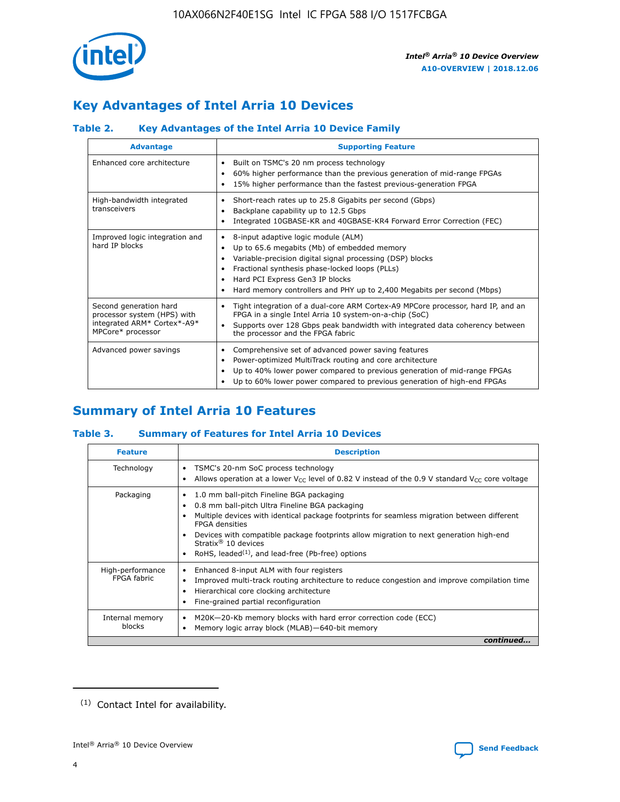

# **Key Advantages of Intel Arria 10 Devices**

# **Table 2. Key Advantages of the Intel Arria 10 Device Family**

| <b>Advantage</b>                                                                                          | <b>Supporting Feature</b>                                                                                                                                                                                                                                                                                                |
|-----------------------------------------------------------------------------------------------------------|--------------------------------------------------------------------------------------------------------------------------------------------------------------------------------------------------------------------------------------------------------------------------------------------------------------------------|
| Enhanced core architecture                                                                                | Built on TSMC's 20 nm process technology<br>٠<br>60% higher performance than the previous generation of mid-range FPGAs<br>٠<br>15% higher performance than the fastest previous-generation FPGA<br>٠                                                                                                                    |
| High-bandwidth integrated<br>transceivers                                                                 | Short-reach rates up to 25.8 Gigabits per second (Gbps)<br>٠<br>Backplane capability up to 12.5 Gbps<br>٠<br>Integrated 10GBASE-KR and 40GBASE-KR4 Forward Error Correction (FEC)<br>٠                                                                                                                                   |
| Improved logic integration and<br>hard IP blocks                                                          | 8-input adaptive logic module (ALM)<br>٠<br>Up to 65.6 megabits (Mb) of embedded memory<br>٠<br>Variable-precision digital signal processing (DSP) blocks<br>Fractional synthesis phase-locked loops (PLLs)<br>Hard PCI Express Gen3 IP blocks<br>Hard memory controllers and PHY up to 2,400 Megabits per second (Mbps) |
| Second generation hard<br>processor system (HPS) with<br>integrated ARM* Cortex*-A9*<br>MPCore* processor | Tight integration of a dual-core ARM Cortex-A9 MPCore processor, hard IP, and an<br>٠<br>FPGA in a single Intel Arria 10 system-on-a-chip (SoC)<br>Supports over 128 Gbps peak bandwidth with integrated data coherency between<br>$\bullet$<br>the processor and the FPGA fabric                                        |
| Advanced power savings                                                                                    | Comprehensive set of advanced power saving features<br>٠<br>Power-optimized MultiTrack routing and core architecture<br>٠<br>Up to 40% lower power compared to previous generation of mid-range FPGAs<br>٠<br>Up to 60% lower power compared to previous generation of high-end FPGAs                                    |

# **Summary of Intel Arria 10 Features**

## **Table 3. Summary of Features for Intel Arria 10 Devices**

| <b>Feature</b>                  | <b>Description</b>                                                                                                                                                                                                                                                                                                                                                                                       |
|---------------------------------|----------------------------------------------------------------------------------------------------------------------------------------------------------------------------------------------------------------------------------------------------------------------------------------------------------------------------------------------------------------------------------------------------------|
| Technology                      | TSMC's 20-nm SoC process technology<br>٠<br>Allows operation at a lower $V_{\text{CC}}$ level of 0.82 V instead of the 0.9 V standard $V_{\text{CC}}$ core voltage                                                                                                                                                                                                                                       |
| Packaging                       | 1.0 mm ball-pitch Fineline BGA packaging<br>0.8 mm ball-pitch Ultra Fineline BGA packaging<br>Multiple devices with identical package footprints for seamless migration between different<br><b>FPGA</b> densities<br>Devices with compatible package footprints allow migration to next generation high-end<br>Stratix $\mathcal{R}$ 10 devices<br>RoHS, leaded $(1)$ , and lead-free (Pb-free) options |
| High-performance<br>FPGA fabric | Enhanced 8-input ALM with four registers<br>٠<br>Improved multi-track routing architecture to reduce congestion and improve compilation time<br>Hierarchical core clocking architecture<br>Fine-grained partial reconfiguration                                                                                                                                                                          |
| Internal memory<br>blocks       | M20K-20-Kb memory blocks with hard error correction code (ECC)<br>Memory logic array block (MLAB)-640-bit memory                                                                                                                                                                                                                                                                                         |
|                                 | continued                                                                                                                                                                                                                                                                                                                                                                                                |



<sup>(1)</sup> Contact Intel for availability.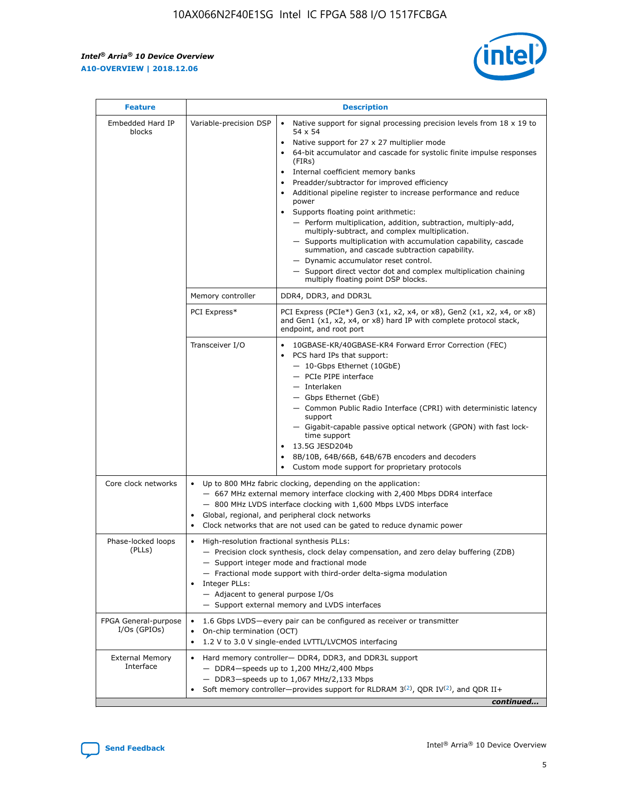$\mathbf{r}$ 



| <b>Feature</b>                         | <b>Description</b>                                                                                             |                                                                                                                                                                                                                                                                                                                                                                                                                                                                                                                                                                                                                                                                                                                                                                                                                                                                  |  |  |  |  |  |  |
|----------------------------------------|----------------------------------------------------------------------------------------------------------------|------------------------------------------------------------------------------------------------------------------------------------------------------------------------------------------------------------------------------------------------------------------------------------------------------------------------------------------------------------------------------------------------------------------------------------------------------------------------------------------------------------------------------------------------------------------------------------------------------------------------------------------------------------------------------------------------------------------------------------------------------------------------------------------------------------------------------------------------------------------|--|--|--|--|--|--|
| Embedded Hard IP<br>blocks             | Variable-precision DSP                                                                                         | Native support for signal processing precision levels from $18 \times 19$ to<br>$\bullet$<br>54 x 54<br>Native support for 27 x 27 multiplier mode<br>$\bullet$<br>64-bit accumulator and cascade for systolic finite impulse responses<br>(FIRs)<br>Internal coefficient memory banks<br>$\bullet$<br>Preadder/subtractor for improved efficiency<br>Additional pipeline register to increase performance and reduce<br>power<br>Supports floating point arithmetic:<br>- Perform multiplication, addition, subtraction, multiply-add,<br>multiply-subtract, and complex multiplication.<br>- Supports multiplication with accumulation capability, cascade<br>summation, and cascade subtraction capability.<br>- Dynamic accumulator reset control.<br>- Support direct vector dot and complex multiplication chaining<br>multiply floating point DSP blocks. |  |  |  |  |  |  |
|                                        | Memory controller                                                                                              | DDR4, DDR3, and DDR3L                                                                                                                                                                                                                                                                                                                                                                                                                                                                                                                                                                                                                                                                                                                                                                                                                                            |  |  |  |  |  |  |
|                                        | PCI Express*                                                                                                   | PCI Express (PCIe*) Gen3 (x1, x2, x4, or x8), Gen2 (x1, x2, x4, or x8)<br>and Gen1 (x1, x2, x4, or x8) hard IP with complete protocol stack,<br>endpoint, and root port                                                                                                                                                                                                                                                                                                                                                                                                                                                                                                                                                                                                                                                                                          |  |  |  |  |  |  |
|                                        | Transceiver I/O                                                                                                | 10GBASE-KR/40GBASE-KR4 Forward Error Correction (FEC)<br>PCS hard IPs that support:<br>- 10-Gbps Ethernet (10GbE)<br>- PCIe PIPE interface<br>- Interlaken<br>- Gbps Ethernet (GbE)<br>- Common Public Radio Interface (CPRI) with deterministic latency<br>support<br>- Gigabit-capable passive optical network (GPON) with fast lock-<br>time support<br>13.5G JESD204b<br>$\bullet$<br>8B/10B, 64B/66B, 64B/67B encoders and decoders<br>Custom mode support for proprietary protocols                                                                                                                                                                                                                                                                                                                                                                        |  |  |  |  |  |  |
| Core clock networks                    | $\bullet$                                                                                                      | Up to 800 MHz fabric clocking, depending on the application:<br>- 667 MHz external memory interface clocking with 2,400 Mbps DDR4 interface<br>- 800 MHz LVDS interface clocking with 1,600 Mbps LVDS interface<br>Global, regional, and peripheral clock networks<br>Clock networks that are not used can be gated to reduce dynamic power                                                                                                                                                                                                                                                                                                                                                                                                                                                                                                                      |  |  |  |  |  |  |
| Phase-locked loops<br>(PLLs)           | High-resolution fractional synthesis PLLs:<br>$\bullet$<br>Integer PLLs:<br>- Adjacent to general purpose I/Os | - Precision clock synthesis, clock delay compensation, and zero delay buffering (ZDB)<br>- Support integer mode and fractional mode<br>- Fractional mode support with third-order delta-sigma modulation<br>- Support external memory and LVDS interfaces                                                                                                                                                                                                                                                                                                                                                                                                                                                                                                                                                                                                        |  |  |  |  |  |  |
| FPGA General-purpose<br>$I/Os$ (GPIOs) | On-chip termination (OCT)<br>$\bullet$                                                                         | 1.6 Gbps LVDS-every pair can be configured as receiver or transmitter                                                                                                                                                                                                                                                                                                                                                                                                                                                                                                                                                                                                                                                                                                                                                                                            |  |  |  |  |  |  |
| <b>External Memory</b><br>Interface    | $\bullet$                                                                                                      | 1.2 V to 3.0 V single-ended LVTTL/LVCMOS interfacing<br>Hard memory controller- DDR4, DDR3, and DDR3L support<br>$-$ DDR4-speeds up to 1,200 MHz/2,400 Mbps<br>- DDR3-speeds up to 1,067 MHz/2,133 Mbps<br>Soft memory controller—provides support for RLDRAM $3^{(2)}$ , QDR IV $^{(2)}$ , and QDR II+<br>continued                                                                                                                                                                                                                                                                                                                                                                                                                                                                                                                                             |  |  |  |  |  |  |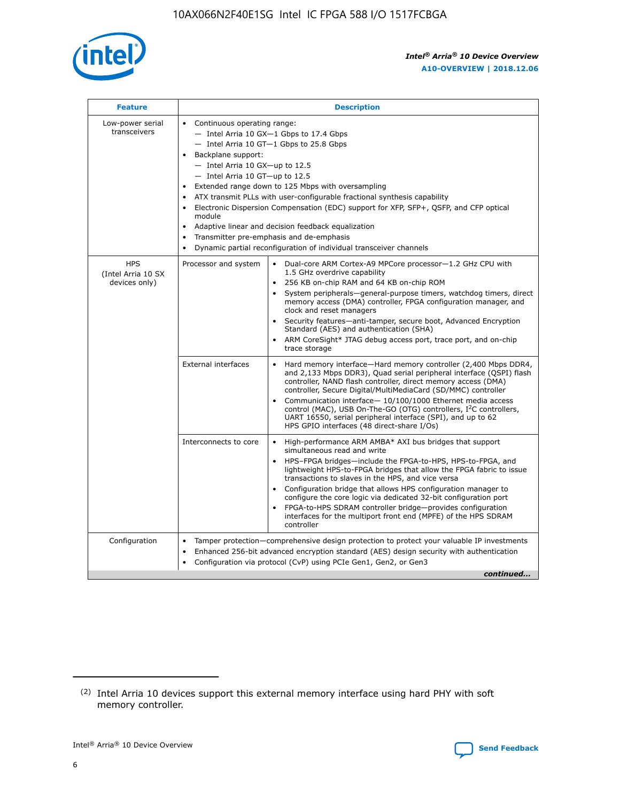

| <b>Feature</b>                                    | <b>Description</b>                                                                                                                                                                                                                                                                                                                                                                                                                                                                                                                                                                                                                         |  |  |  |  |  |  |  |
|---------------------------------------------------|--------------------------------------------------------------------------------------------------------------------------------------------------------------------------------------------------------------------------------------------------------------------------------------------------------------------------------------------------------------------------------------------------------------------------------------------------------------------------------------------------------------------------------------------------------------------------------------------------------------------------------------------|--|--|--|--|--|--|--|
| Low-power serial<br>transceivers                  | • Continuous operating range:<br>- Intel Arria 10 GX-1 Gbps to 17.4 Gbps<br>- Intel Arria 10 GT-1 Gbps to 25.8 Gbps<br>Backplane support:<br>$-$ Intel Arria 10 GX-up to 12.5<br>- Intel Arria 10 GT-up to 12.5<br>Extended range down to 125 Mbps with oversampling<br>ATX transmit PLLs with user-configurable fractional synthesis capability<br>Electronic Dispersion Compensation (EDC) support for XFP, SFP+, QSFP, and CFP optical<br>module<br>• Adaptive linear and decision feedback equalization<br>Transmitter pre-emphasis and de-emphasis<br>$\bullet$<br>Dynamic partial reconfiguration of individual transceiver channels |  |  |  |  |  |  |  |
| <b>HPS</b><br>(Intel Arria 10 SX<br>devices only) | Dual-core ARM Cortex-A9 MPCore processor-1.2 GHz CPU with<br>Processor and system<br>$\bullet$<br>1.5 GHz overdrive capability<br>256 KB on-chip RAM and 64 KB on-chip ROM<br>System peripherals-general-purpose timers, watchdog timers, direct<br>memory access (DMA) controller, FPGA configuration manager, and<br>clock and reset managers<br>Security features-anti-tamper, secure boot, Advanced Encryption<br>$\bullet$<br>Standard (AES) and authentication (SHA)<br>ARM CoreSight* JTAG debug access port, trace port, and on-chip<br>trace storage                                                                              |  |  |  |  |  |  |  |
|                                                   | <b>External interfaces</b><br>Hard memory interface-Hard memory controller (2,400 Mbps DDR4,<br>$\bullet$<br>and 2,133 Mbps DDR3), Quad serial peripheral interface (QSPI) flash<br>controller, NAND flash controller, direct memory access (DMA)<br>controller, Secure Digital/MultiMediaCard (SD/MMC) controller<br>Communication interface-10/100/1000 Ethernet media access<br>$\bullet$<br>control (MAC), USB On-The-GO (OTG) controllers, I <sup>2</sup> C controllers,<br>UART 16550, serial peripheral interface (SPI), and up to 62<br>HPS GPIO interfaces (48 direct-share I/Os)                                                 |  |  |  |  |  |  |  |
|                                                   | High-performance ARM AMBA* AXI bus bridges that support<br>Interconnects to core<br>$\bullet$<br>simultaneous read and write<br>HPS-FPGA bridges-include the FPGA-to-HPS, HPS-to-FPGA, and<br>$\bullet$<br>lightweight HPS-to-FPGA bridges that allow the FPGA fabric to issue<br>transactions to slaves in the HPS, and vice versa<br>Configuration bridge that allows HPS configuration manager to<br>configure the core logic via dedicated 32-bit configuration port<br>FPGA-to-HPS SDRAM controller bridge-provides configuration<br>interfaces for the multiport front end (MPFE) of the HPS SDRAM<br>controller                     |  |  |  |  |  |  |  |
| Configuration                                     | Tamper protection—comprehensive design protection to protect your valuable IP investments<br>Enhanced 256-bit advanced encryption standard (AES) design security with authentication<br>٠<br>Configuration via protocol (CvP) using PCIe Gen1, Gen2, or Gen3<br>continued                                                                                                                                                                                                                                                                                                                                                                  |  |  |  |  |  |  |  |

<sup>(2)</sup> Intel Arria 10 devices support this external memory interface using hard PHY with soft memory controller.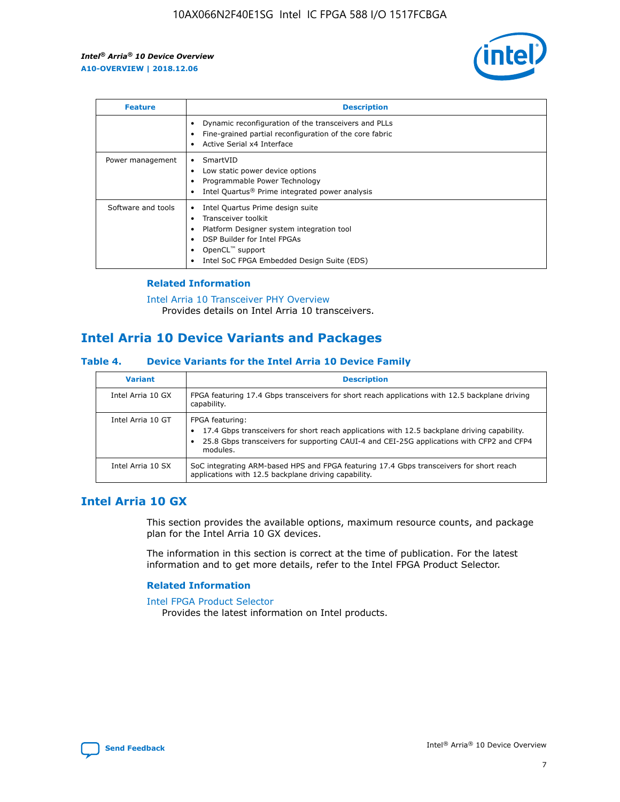

| <b>Feature</b>     | <b>Description</b>                                                                                                                                                                                               |
|--------------------|------------------------------------------------------------------------------------------------------------------------------------------------------------------------------------------------------------------|
|                    | Dynamic reconfiguration of the transceivers and PLLs<br>Fine-grained partial reconfiguration of the core fabric<br>Active Serial x4 Interface<br>$\bullet$                                                       |
| Power management   | SmartVID<br>Low static power device options<br>Programmable Power Technology<br>Intel Quartus <sup>®</sup> Prime integrated power analysis                                                                       |
| Software and tools | Intel Quartus Prime design suite<br>Transceiver toolkit<br>Platform Designer system integration tool<br>DSP Builder for Intel FPGAs<br>OpenCL <sup>™</sup> support<br>Intel SoC FPGA Embedded Design Suite (EDS) |

## **Related Information**

[Intel Arria 10 Transceiver PHY Overview](https://www.intel.com/content/www/us/en/programmable/documentation/nik1398707230472.html#nik1398706768037) Provides details on Intel Arria 10 transceivers.

# **Intel Arria 10 Device Variants and Packages**

#### **Table 4. Device Variants for the Intel Arria 10 Device Family**

| <b>Variant</b>    | <b>Description</b>                                                                                                                                                                                                     |
|-------------------|------------------------------------------------------------------------------------------------------------------------------------------------------------------------------------------------------------------------|
| Intel Arria 10 GX | FPGA featuring 17.4 Gbps transceivers for short reach applications with 12.5 backplane driving<br>capability.                                                                                                          |
| Intel Arria 10 GT | FPGA featuring:<br>17.4 Gbps transceivers for short reach applications with 12.5 backplane driving capability.<br>25.8 Gbps transceivers for supporting CAUI-4 and CEI-25G applications with CFP2 and CFP4<br>modules. |
| Intel Arria 10 SX | SoC integrating ARM-based HPS and FPGA featuring 17.4 Gbps transceivers for short reach<br>applications with 12.5 backplane driving capability.                                                                        |

# **Intel Arria 10 GX**

This section provides the available options, maximum resource counts, and package plan for the Intel Arria 10 GX devices.

The information in this section is correct at the time of publication. For the latest information and to get more details, refer to the Intel FPGA Product Selector.

#### **Related Information**

#### [Intel FPGA Product Selector](http://www.altera.com/products/selector/psg-selector.html) Provides the latest information on Intel products.

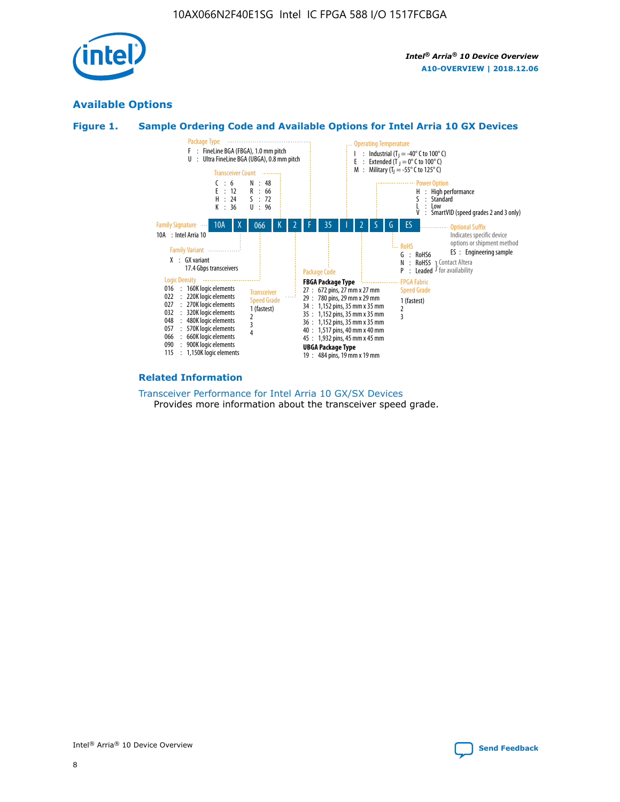

# **Available Options**





#### **Related Information**

[Transceiver Performance for Intel Arria 10 GX/SX Devices](https://www.intel.com/content/www/us/en/programmable/documentation/mcn1413182292568.html#mcn1413213965502) Provides more information about the transceiver speed grade.

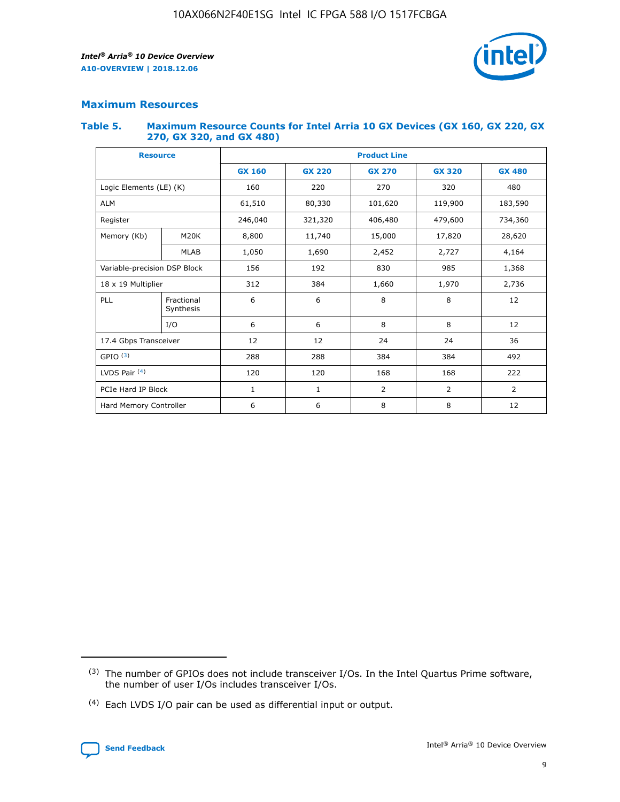

# **Maximum Resources**

#### **Table 5. Maximum Resource Counts for Intel Arria 10 GX Devices (GX 160, GX 220, GX 270, GX 320, and GX 480)**

| <b>Resource</b>              |                         | <b>Product Line</b> |                                |                    |                |                |  |  |  |
|------------------------------|-------------------------|---------------------|--------------------------------|--------------------|----------------|----------------|--|--|--|
|                              |                         | <b>GX 160</b>       | <b>GX 220</b><br><b>GX 270</b> |                    | <b>GX 320</b>  | <b>GX 480</b>  |  |  |  |
| Logic Elements (LE) (K)      |                         | 160                 | 320<br>220<br>270              |                    |                | 480            |  |  |  |
| <b>ALM</b>                   |                         | 61,510              | 80,330                         | 101,620            | 119,900        | 183,590        |  |  |  |
| Register                     |                         | 246,040             | 321,320                        | 479,600<br>406,480 |                | 734,360        |  |  |  |
| Memory (Kb)                  | M <sub>20</sub> K       | 8,800               | 11,740                         | 15,000             | 17,820         | 28,620         |  |  |  |
|                              | <b>MLAB</b>             | 1,050               | 1,690                          | 2,452<br>2,727     |                | 4,164          |  |  |  |
| Variable-precision DSP Block |                         | 156                 | 192                            | 830                | 985            | 1,368          |  |  |  |
| 18 x 19 Multiplier           |                         | 312                 | 384                            | 1,970<br>1,660     |                | 2,736          |  |  |  |
| PLL                          | Fractional<br>Synthesis | 6                   | 6                              | 8                  | 8              | 12             |  |  |  |
|                              | I/O                     | 6                   | 6                              | 8                  | 8              | 12             |  |  |  |
| 17.4 Gbps Transceiver        |                         | 12                  | 12                             | 24                 | 24             | 36             |  |  |  |
| GPIO <sup>(3)</sup>          |                         | 288                 | 288                            | 384                | 384            |                |  |  |  |
| LVDS Pair $(4)$              |                         | 120                 | 120                            | 168                | 168            | 222            |  |  |  |
| PCIe Hard IP Block           |                         | $\mathbf{1}$        | 1                              | $\overline{2}$     | $\overline{2}$ | $\overline{2}$ |  |  |  |
| Hard Memory Controller       |                         | 6                   | 6                              | 8                  | 8              |                |  |  |  |

<sup>(4)</sup> Each LVDS I/O pair can be used as differential input or output.



<sup>(3)</sup> The number of GPIOs does not include transceiver I/Os. In the Intel Quartus Prime software, the number of user I/Os includes transceiver I/Os.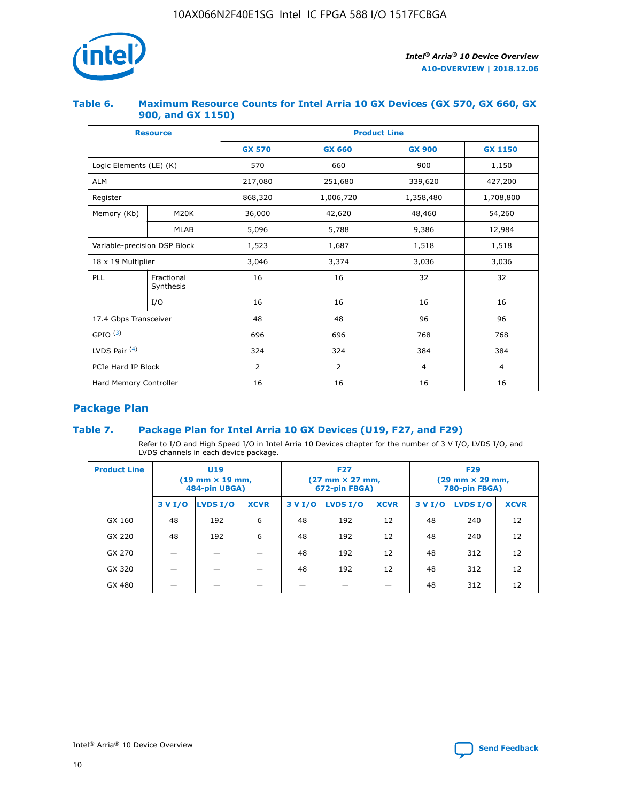

## **Table 6. Maximum Resource Counts for Intel Arria 10 GX Devices (GX 570, GX 660, GX 900, and GX 1150)**

|                              | <b>Resource</b>           | <b>Product Line</b> |               |                |                |  |  |  |
|------------------------------|---------------------------|---------------------|---------------|----------------|----------------|--|--|--|
|                              |                           | <b>GX 570</b>       | <b>GX 660</b> | <b>GX 900</b>  | <b>GX 1150</b> |  |  |  |
| Logic Elements (LE) (K)      |                           | 570                 | 660           | 900            | 1,150          |  |  |  |
| <b>ALM</b>                   |                           | 217,080             | 251,680       | 339,620        | 427,200        |  |  |  |
| Register                     |                           | 868,320             | 1,006,720     | 1,358,480      | 1,708,800      |  |  |  |
| Memory (Kb)                  | <b>M20K</b>               | 36,000              | 42,620        | 48,460         | 54,260         |  |  |  |
|                              | <b>MLAB</b>               | 5,096               | 5,788         | 9,386          | 12,984         |  |  |  |
| Variable-precision DSP Block |                           | 1,523               | 1,687         | 1,518          | 1,518          |  |  |  |
|                              | $18 \times 19$ Multiplier |                     | 3,374         | 3,036          | 3,036          |  |  |  |
| PLL                          | Fractional<br>Synthesis   | 16                  | 16            | 32             | 32             |  |  |  |
|                              | I/O                       | 16                  | 16            | 16             | 16             |  |  |  |
| 17.4 Gbps Transceiver        |                           | 48                  | 48            | 96             | 96             |  |  |  |
| GPIO <sup>(3)</sup>          |                           | 696                 | 696           | 768            | 768            |  |  |  |
| LVDS Pair $(4)$              |                           | 324                 | 324           | 384            | 384            |  |  |  |
| PCIe Hard IP Block           |                           | 2                   | 2             | $\overline{4}$ | $\overline{4}$ |  |  |  |
| Hard Memory Controller       |                           | 16                  | 16            | 16             | 16             |  |  |  |

# **Package Plan**

## **Table 7. Package Plan for Intel Arria 10 GX Devices (U19, F27, and F29)**

Refer to I/O and High Speed I/O in Intel Arria 10 Devices chapter for the number of 3 V I/O, LVDS I/O, and LVDS channels in each device package.

| <b>Product Line</b> | U <sub>19</sub><br>$(19 \text{ mm} \times 19 \text{ mm})$<br>484-pin UBGA) |          |             | <b>F27</b><br>(27 mm × 27 mm,<br>672-pin FBGA) |                 |             | <b>F29</b><br>(29 mm × 29 mm,<br>780-pin FBGA) |          |             |  |
|---------------------|----------------------------------------------------------------------------|----------|-------------|------------------------------------------------|-----------------|-------------|------------------------------------------------|----------|-------------|--|
|                     | 3 V I/O                                                                    | LVDS I/O | <b>XCVR</b> | 3 V I/O                                        | <b>LVDS I/O</b> | <b>XCVR</b> | 3 V I/O                                        | LVDS I/O | <b>XCVR</b> |  |
| GX 160              | 48                                                                         | 192      | 6           | 48                                             | 192             | 12          | 48                                             | 240      | 12          |  |
| GX 220              | 48                                                                         | 192      | 6           | 48                                             | 192             | 12          | 48                                             | 240      | 12          |  |
| GX 270              |                                                                            |          |             | 48                                             | 192             | 12          | 48                                             | 312      | 12          |  |
| GX 320              |                                                                            |          |             | 48                                             | 192             | 12          | 48                                             | 312      | 12          |  |
| GX 480              |                                                                            |          |             |                                                |                 |             | 48                                             | 312      | 12          |  |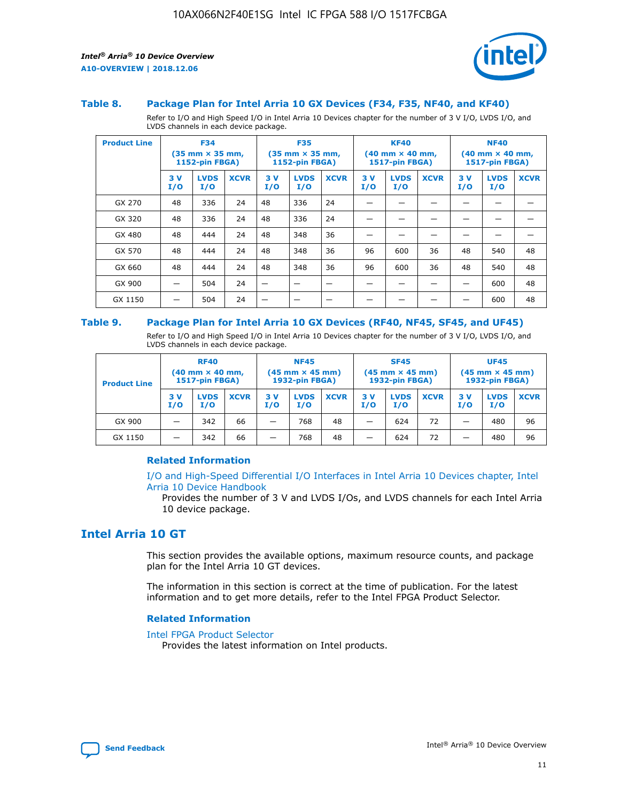

#### **Table 8. Package Plan for Intel Arria 10 GX Devices (F34, F35, NF40, and KF40)**

Refer to I/O and High Speed I/O in Intel Arria 10 Devices chapter for the number of 3 V I/O, LVDS I/O, and LVDS channels in each device package.

| <b>Product Line</b> | <b>F34</b><br>$(35 \text{ mm} \times 35 \text{ mm})$<br>1152-pin FBGA) |                    | <b>F35</b><br>$(35 \text{ mm} \times 35 \text{ mm})$<br><b>1152-pin FBGA)</b> |           | <b>KF40</b><br>$(40 \text{ mm} \times 40 \text{ mm})$<br>1517-pin FBGA) |             |            | <b>NF40</b><br>$(40 \text{ mm} \times 40 \text{ mm})$<br><b>1517-pin FBGA)</b> |             |            |                    |             |
|---------------------|------------------------------------------------------------------------|--------------------|-------------------------------------------------------------------------------|-----------|-------------------------------------------------------------------------|-------------|------------|--------------------------------------------------------------------------------|-------------|------------|--------------------|-------------|
|                     | 3V<br>I/O                                                              | <b>LVDS</b><br>I/O | <b>XCVR</b>                                                                   | 3V<br>I/O | <b>LVDS</b><br>I/O                                                      | <b>XCVR</b> | 3 V<br>I/O | <b>LVDS</b><br>I/O                                                             | <b>XCVR</b> | 3 V<br>I/O | <b>LVDS</b><br>I/O | <b>XCVR</b> |
| GX 270              | 48                                                                     | 336                | 24                                                                            | 48        | 336                                                                     | 24          |            |                                                                                |             |            |                    |             |
| GX 320              | 48                                                                     | 336                | 24                                                                            | 48        | 336                                                                     | 24          |            |                                                                                |             |            |                    |             |
| GX 480              | 48                                                                     | 444                | 24                                                                            | 48        | 348                                                                     | 36          |            |                                                                                |             |            |                    |             |
| GX 570              | 48                                                                     | 444                | 24                                                                            | 48        | 348                                                                     | 36          | 96         | 600                                                                            | 36          | 48         | 540                | 48          |
| GX 660              | 48                                                                     | 444                | 24                                                                            | 48        | 348                                                                     | 36          | 96         | 600                                                                            | 36          | 48         | 540                | 48          |
| GX 900              |                                                                        | 504                | 24                                                                            | -         |                                                                         |             |            |                                                                                |             |            | 600                | 48          |
| GX 1150             |                                                                        | 504                | 24                                                                            |           |                                                                         |             |            |                                                                                |             |            | 600                | 48          |

#### **Table 9. Package Plan for Intel Arria 10 GX Devices (RF40, NF45, SF45, and UF45)**

Refer to I/O and High Speed I/O in Intel Arria 10 Devices chapter for the number of 3 V I/O, LVDS I/O, and LVDS channels in each device package.

| <b>Product Line</b> | <b>RF40</b><br>$(40$ mm $\times$ 40 mm,<br>1517-pin FBGA) |                    | <b>NF45</b><br>$(45 \text{ mm} \times 45 \text{ mm})$<br><b>1932-pin FBGA)</b> |            |                    | <b>SF45</b><br>$(45 \text{ mm} \times 45 \text{ mm})$<br><b>1932-pin FBGA)</b> |            |                    | <b>UF45</b><br>$(45 \text{ mm} \times 45 \text{ mm})$<br><b>1932-pin FBGA)</b> |           |                    |             |
|---------------------|-----------------------------------------------------------|--------------------|--------------------------------------------------------------------------------|------------|--------------------|--------------------------------------------------------------------------------|------------|--------------------|--------------------------------------------------------------------------------|-----------|--------------------|-------------|
|                     | 3V<br>I/O                                                 | <b>LVDS</b><br>I/O | <b>XCVR</b>                                                                    | 3 V<br>I/O | <b>LVDS</b><br>I/O | <b>XCVR</b>                                                                    | 3 V<br>I/O | <b>LVDS</b><br>I/O | <b>XCVR</b>                                                                    | 3V<br>I/O | <b>LVDS</b><br>I/O | <b>XCVR</b> |
| GX 900              |                                                           | 342                | 66                                                                             | _          | 768                | 48                                                                             |            | 624                | 72                                                                             |           | 480                | 96          |
| GX 1150             |                                                           | 342                | 66                                                                             | _          | 768                | 48                                                                             |            | 624                | 72                                                                             |           | 480                | 96          |

#### **Related Information**

[I/O and High-Speed Differential I/O Interfaces in Intel Arria 10 Devices chapter, Intel](https://www.intel.com/content/www/us/en/programmable/documentation/sam1403482614086.html#sam1403482030321) [Arria 10 Device Handbook](https://www.intel.com/content/www/us/en/programmable/documentation/sam1403482614086.html#sam1403482030321)

Provides the number of 3 V and LVDS I/Os, and LVDS channels for each Intel Arria 10 device package.

# **Intel Arria 10 GT**

This section provides the available options, maximum resource counts, and package plan for the Intel Arria 10 GT devices.

The information in this section is correct at the time of publication. For the latest information and to get more details, refer to the Intel FPGA Product Selector.

#### **Related Information**

#### [Intel FPGA Product Selector](http://www.altera.com/products/selector/psg-selector.html)

Provides the latest information on Intel products.

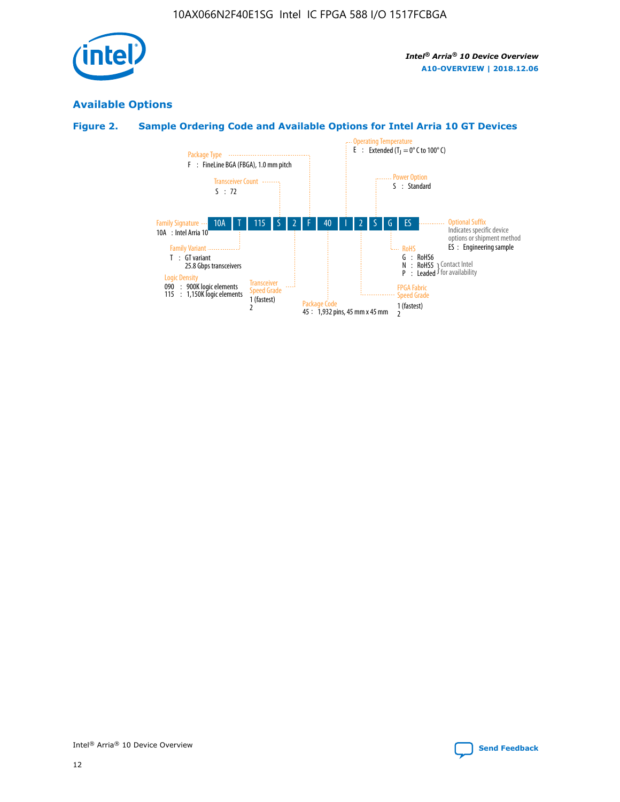

# **Available Options**

# **Figure 2. Sample Ordering Code and Available Options for Intel Arria 10 GT Devices**

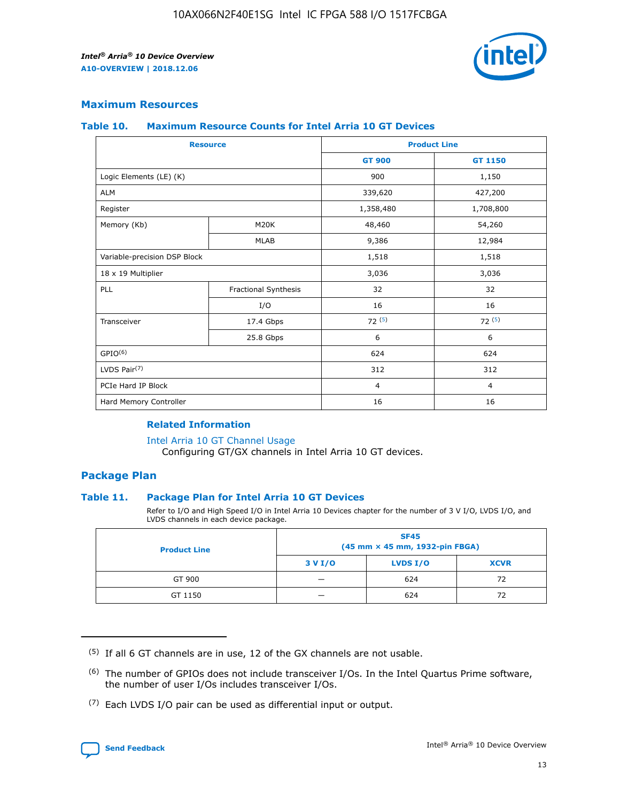

## **Maximum Resources**

#### **Table 10. Maximum Resource Counts for Intel Arria 10 GT Devices**

| <b>Resource</b>              |                      |                | <b>Product Line</b> |  |
|------------------------------|----------------------|----------------|---------------------|--|
|                              |                      | <b>GT 900</b>  | <b>GT 1150</b>      |  |
| Logic Elements (LE) (K)      |                      | 900            | 1,150               |  |
| <b>ALM</b>                   |                      | 339,620        | 427,200             |  |
| Register                     |                      | 1,358,480      | 1,708,800           |  |
| Memory (Kb)                  | M20K                 | 48,460         | 54,260              |  |
|                              | <b>MLAB</b>          | 9,386          | 12,984              |  |
| Variable-precision DSP Block |                      | 1,518          | 1,518               |  |
| 18 x 19 Multiplier           |                      | 3,036          | 3,036               |  |
| PLL                          | Fractional Synthesis | 32             | 32                  |  |
|                              | I/O                  | 16             | 16                  |  |
| Transceiver                  | 17.4 Gbps            | 72(5)          | 72(5)               |  |
|                              | 25.8 Gbps            | 6              | 6                   |  |
| GPIO <sup>(6)</sup>          |                      | 624            | 624                 |  |
| LVDS Pair $(7)$              |                      | 312            | 312                 |  |
| PCIe Hard IP Block           |                      | $\overline{4}$ | $\overline{4}$      |  |
| Hard Memory Controller       |                      | 16             | 16                  |  |

#### **Related Information**

#### [Intel Arria 10 GT Channel Usage](https://www.intel.com/content/www/us/en/programmable/documentation/nik1398707230472.html#nik1398707008178)

Configuring GT/GX channels in Intel Arria 10 GT devices.

## **Package Plan**

#### **Table 11. Package Plan for Intel Arria 10 GT Devices**

Refer to I/O and High Speed I/O in Intel Arria 10 Devices chapter for the number of 3 V I/O, LVDS I/O, and LVDS channels in each device package.

| <b>Product Line</b> | <b>SF45</b><br>(45 mm × 45 mm, 1932-pin FBGA) |                 |             |  |  |  |
|---------------------|-----------------------------------------------|-----------------|-------------|--|--|--|
|                     | 3 V I/O                                       | <b>LVDS I/O</b> | <b>XCVR</b> |  |  |  |
| GT 900              |                                               | 624             | 72          |  |  |  |
| GT 1150             |                                               | 624             | 72          |  |  |  |

<sup>(7)</sup> Each LVDS I/O pair can be used as differential input or output.



 $(5)$  If all 6 GT channels are in use, 12 of the GX channels are not usable.

<sup>(6)</sup> The number of GPIOs does not include transceiver I/Os. In the Intel Quartus Prime software, the number of user I/Os includes transceiver I/Os.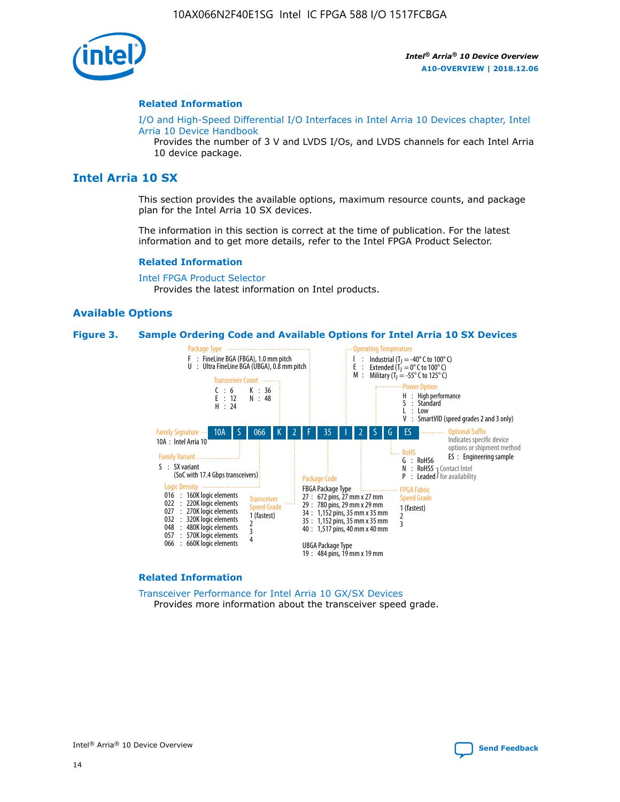

#### **Related Information**

[I/O and High-Speed Differential I/O Interfaces in Intel Arria 10 Devices chapter, Intel](https://www.intel.com/content/www/us/en/programmable/documentation/sam1403482614086.html#sam1403482030321) [Arria 10 Device Handbook](https://www.intel.com/content/www/us/en/programmable/documentation/sam1403482614086.html#sam1403482030321)

Provides the number of 3 V and LVDS I/Os, and LVDS channels for each Intel Arria 10 device package.

# **Intel Arria 10 SX**

This section provides the available options, maximum resource counts, and package plan for the Intel Arria 10 SX devices.

The information in this section is correct at the time of publication. For the latest information and to get more details, refer to the Intel FPGA Product Selector.

#### **Related Information**

[Intel FPGA Product Selector](http://www.altera.com/products/selector/psg-selector.html) Provides the latest information on Intel products.

#### **Available Options**

#### **Figure 3. Sample Ordering Code and Available Options for Intel Arria 10 SX Devices**



#### **Related Information**

[Transceiver Performance for Intel Arria 10 GX/SX Devices](https://www.intel.com/content/www/us/en/programmable/documentation/mcn1413182292568.html#mcn1413213965502) Provides more information about the transceiver speed grade.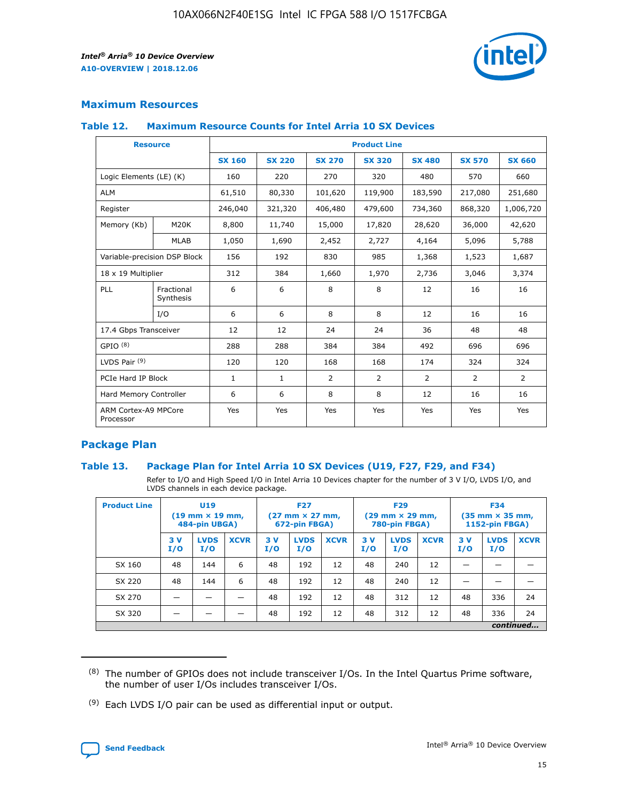

## **Maximum Resources**

#### **Table 12. Maximum Resource Counts for Intel Arria 10 SX Devices**

| <b>Resource</b>                   |                         | <b>Product Line</b> |               |                |                |                |                |                |  |  |  |
|-----------------------------------|-------------------------|---------------------|---------------|----------------|----------------|----------------|----------------|----------------|--|--|--|
|                                   |                         | <b>SX 160</b>       | <b>SX 220</b> | <b>SX 270</b>  | <b>SX 320</b>  | <b>SX 480</b>  | <b>SX 570</b>  | <b>SX 660</b>  |  |  |  |
| Logic Elements (LE) (K)           |                         | 160                 | 220           | 270            | 320            | 480            | 570            | 660            |  |  |  |
| <b>ALM</b>                        |                         | 61,510              | 80,330        | 101,620        | 119,900        | 183,590        | 217,080        | 251,680        |  |  |  |
| Register                          |                         | 246,040             | 321,320       | 406,480        | 479,600        | 734,360        | 868,320        | 1,006,720      |  |  |  |
| Memory (Kb)                       | M <sub>20</sub> K       | 8,800               | 11,740        | 15,000         | 17,820         | 28,620         | 36,000         | 42,620         |  |  |  |
|                                   | <b>MLAB</b>             | 1,050               | 1,690         | 2,452          | 2,727          | 4,164          | 5,096          | 5,788          |  |  |  |
| Variable-precision DSP Block      |                         | 156                 | 192           | 830            | 985            | 1,368          | 1,523          | 1,687          |  |  |  |
| 18 x 19 Multiplier                |                         | 312                 | 384           | 1,660          | 1,970          | 2,736          | 3,046          | 3,374          |  |  |  |
| PLL                               | Fractional<br>Synthesis | 6                   | 6             | 8              | 8              | 12             | 16             | 16             |  |  |  |
|                                   | I/O                     | 6                   | 6             | 8              | 8              | 12             | 16             | 16             |  |  |  |
| 17.4 Gbps Transceiver             |                         | 12                  | 12            | 24             | 24             | 36             | 48             | 48             |  |  |  |
| GPIO <sup>(8)</sup>               |                         | 288                 | 288           | 384            | 384            | 492            | 696            | 696            |  |  |  |
| LVDS Pair $(9)$                   |                         | 120                 | 120           | 168            | 168            | 174            | 324            | 324            |  |  |  |
| PCIe Hard IP Block                |                         | $\mathbf{1}$        | $\mathbf{1}$  | $\overline{2}$ | $\overline{2}$ | $\overline{2}$ | $\overline{2}$ | $\overline{2}$ |  |  |  |
| Hard Memory Controller            |                         | 6                   | 6             | 8              | 8              | 12             | 16             | 16             |  |  |  |
| ARM Cortex-A9 MPCore<br>Processor |                         | Yes                 | Yes           | Yes            | Yes            | Yes            | Yes            | <b>Yes</b>     |  |  |  |

## **Package Plan**

#### **Table 13. Package Plan for Intel Arria 10 SX Devices (U19, F27, F29, and F34)**

Refer to I/O and High Speed I/O in Intel Arria 10 Devices chapter for the number of 3 V I/O, LVDS I/O, and LVDS channels in each device package.

| <b>Product Line</b> | U19<br>$(19 \text{ mm} \times 19 \text{ mm})$<br>484-pin UBGA) |                    | <b>F27</b><br>$(27 \text{ mm} \times 27 \text{ mm})$<br>672-pin FBGA) |           | <b>F29</b><br>$(29 \text{ mm} \times 29 \text{ mm})$<br>780-pin FBGA) |             |            | <b>F34</b><br>$(35 \text{ mm} \times 35 \text{ mm})$<br><b>1152-pin FBGA)</b> |             |           |                    |             |
|---------------------|----------------------------------------------------------------|--------------------|-----------------------------------------------------------------------|-----------|-----------------------------------------------------------------------|-------------|------------|-------------------------------------------------------------------------------|-------------|-----------|--------------------|-------------|
|                     | 3V<br>I/O                                                      | <b>LVDS</b><br>I/O | <b>XCVR</b>                                                           | 3V<br>I/O | <b>LVDS</b><br>I/O                                                    | <b>XCVR</b> | 3 V<br>I/O | <b>LVDS</b><br>I/O                                                            | <b>XCVR</b> | 3V<br>I/O | <b>LVDS</b><br>I/O | <b>XCVR</b> |
| SX 160              | 48                                                             | 144                | 6                                                                     | 48        | 192                                                                   | 12          | 48         | 240                                                                           | 12          | –         |                    |             |
| SX 220              | 48                                                             | 144                | 6                                                                     | 48        | 192                                                                   | 12          | 48         | 240                                                                           | 12          |           |                    |             |
| SX 270              |                                                                |                    |                                                                       | 48        | 192                                                                   | 12          | 48         | 312                                                                           | 12          | 48        | 336                | 24          |
| SX 320              |                                                                |                    |                                                                       | 48        | 192                                                                   | 12          | 48         | 312                                                                           | 12          | 48        | 336                | 24          |
|                     | continued                                                      |                    |                                                                       |           |                                                                       |             |            |                                                                               |             |           |                    |             |

 $(8)$  The number of GPIOs does not include transceiver I/Os. In the Intel Quartus Prime software, the number of user I/Os includes transceiver I/Os.

 $(9)$  Each LVDS I/O pair can be used as differential input or output.

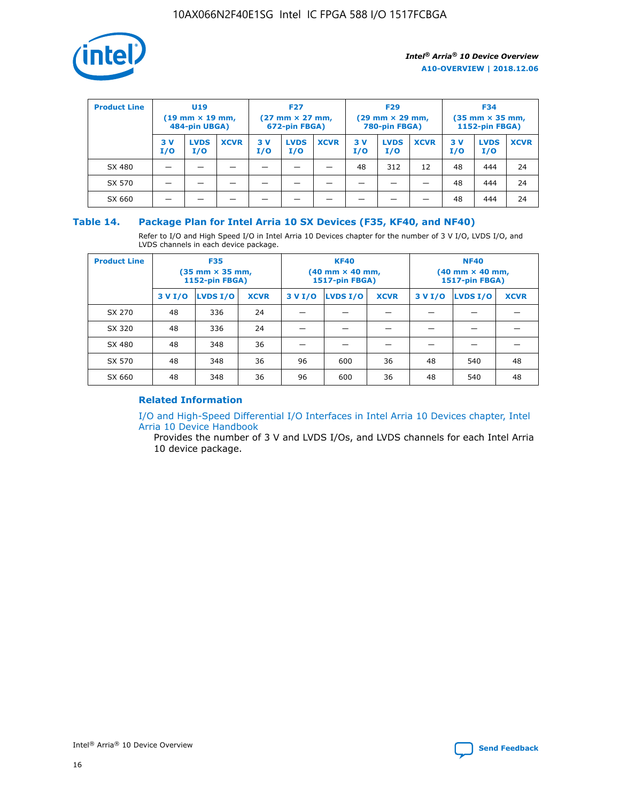

| <b>Product Line</b> | U <sub>19</sub><br>$(19 \text{ mm} \times 19 \text{ mm})$<br>484-pin UBGA) |                    | <b>F27</b><br>$(27 \text{ mm} \times 27 \text{ mm})$<br>672-pin FBGA) |            | <b>F29</b><br>$(29 \text{ mm} \times 29 \text{ mm})$<br>780-pin FBGA) |             |           | <b>F34</b><br>$(35$ mm $\times$ 35 mm,<br><b>1152-pin FBGA)</b> |             |           |                    |             |
|---------------------|----------------------------------------------------------------------------|--------------------|-----------------------------------------------------------------------|------------|-----------------------------------------------------------------------|-------------|-----------|-----------------------------------------------------------------|-------------|-----------|--------------------|-------------|
|                     | 3V<br>I/O                                                                  | <b>LVDS</b><br>I/O | <b>XCVR</b>                                                           | 3 V<br>I/O | <b>LVDS</b><br>I/O                                                    | <b>XCVR</b> | 3V<br>I/O | <b>LVDS</b><br>I/O                                              | <b>XCVR</b> | 3V<br>I/O | <b>LVDS</b><br>I/O | <b>XCVR</b> |
| SX 480              |                                                                            |                    |                                                                       |            |                                                                       |             | 48        | 312                                                             | 12          | 48        | 444                | 24          |
| SX 570              |                                                                            |                    |                                                                       |            |                                                                       |             |           |                                                                 |             | 48        | 444                | 24          |
| SX 660              |                                                                            |                    |                                                                       |            |                                                                       |             |           |                                                                 |             | 48        | 444                | 24          |

## **Table 14. Package Plan for Intel Arria 10 SX Devices (F35, KF40, and NF40)**

Refer to I/O and High Speed I/O in Intel Arria 10 Devices chapter for the number of 3 V I/O, LVDS I/O, and LVDS channels in each device package.

| <b>Product Line</b> | <b>F35</b><br>$(35 \text{ mm} \times 35 \text{ mm})$<br><b>1152-pin FBGA)</b> |          |             |                                           | <b>KF40</b><br>(40 mm × 40 mm,<br>1517-pin FBGA) |    | <b>NF40</b><br>$(40 \text{ mm} \times 40 \text{ mm})$<br>1517-pin FBGA) |          |             |  |
|---------------------|-------------------------------------------------------------------------------|----------|-------------|-------------------------------------------|--------------------------------------------------|----|-------------------------------------------------------------------------|----------|-------------|--|
|                     | 3 V I/O                                                                       | LVDS I/O | <b>XCVR</b> | <b>LVDS I/O</b><br><b>XCVR</b><br>3 V I/O |                                                  |    | 3 V I/O                                                                 | LVDS I/O | <b>XCVR</b> |  |
| SX 270              | 48                                                                            | 336      | 24          |                                           |                                                  |    |                                                                         |          |             |  |
| SX 320              | 48                                                                            | 336      | 24          |                                           |                                                  |    |                                                                         |          |             |  |
| SX 480              | 48                                                                            | 348      | 36          |                                           |                                                  |    |                                                                         |          |             |  |
| SX 570              | 48                                                                            | 348      | 36          | 96                                        | 600                                              | 36 | 48                                                                      | 540      | 48          |  |
| SX 660              | 48                                                                            | 348      | 36          | 96                                        | 600                                              | 36 | 48                                                                      | 540      | 48          |  |

# **Related Information**

[I/O and High-Speed Differential I/O Interfaces in Intel Arria 10 Devices chapter, Intel](https://www.intel.com/content/www/us/en/programmable/documentation/sam1403482614086.html#sam1403482030321) [Arria 10 Device Handbook](https://www.intel.com/content/www/us/en/programmable/documentation/sam1403482614086.html#sam1403482030321)

Provides the number of 3 V and LVDS I/Os, and LVDS channels for each Intel Arria 10 device package.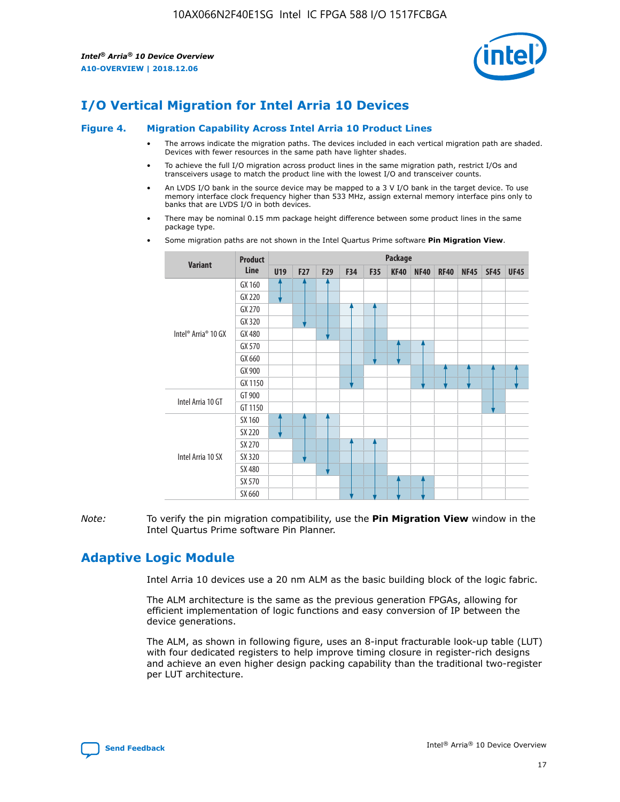

# **I/O Vertical Migration for Intel Arria 10 Devices**

#### **Figure 4. Migration Capability Across Intel Arria 10 Product Lines**

- The arrows indicate the migration paths. The devices included in each vertical migration path are shaded. Devices with fewer resources in the same path have lighter shades.
- To achieve the full I/O migration across product lines in the same migration path, restrict I/Os and transceivers usage to match the product line with the lowest I/O and transceiver counts.
- An LVDS I/O bank in the source device may be mapped to a 3 V I/O bank in the target device. To use memory interface clock frequency higher than 533 MHz, assign external memory interface pins only to banks that are LVDS I/O in both devices.
- There may be nominal 0.15 mm package height difference between some product lines in the same package type.
	- **Variant Product Line Package U19 F27 F29 F34 F35 KF40 NF40 RF40 NF45 SF45 UF45** Intel® Arria® 10 GX GX 160 GX 220 GX 270 GX 320 GX 480 GX 570 GX 660 GX 900 GX 1150 Intel Arria 10 GT GT 900 GT 1150 Intel Arria 10 SX SX 160 SX 220 SX 270 SX 320 SX 480 SX 570 SX 660
- Some migration paths are not shown in the Intel Quartus Prime software **Pin Migration View**.

*Note:* To verify the pin migration compatibility, use the **Pin Migration View** window in the Intel Quartus Prime software Pin Planner.

# **Adaptive Logic Module**

Intel Arria 10 devices use a 20 nm ALM as the basic building block of the logic fabric.

The ALM architecture is the same as the previous generation FPGAs, allowing for efficient implementation of logic functions and easy conversion of IP between the device generations.

The ALM, as shown in following figure, uses an 8-input fracturable look-up table (LUT) with four dedicated registers to help improve timing closure in register-rich designs and achieve an even higher design packing capability than the traditional two-register per LUT architecture.

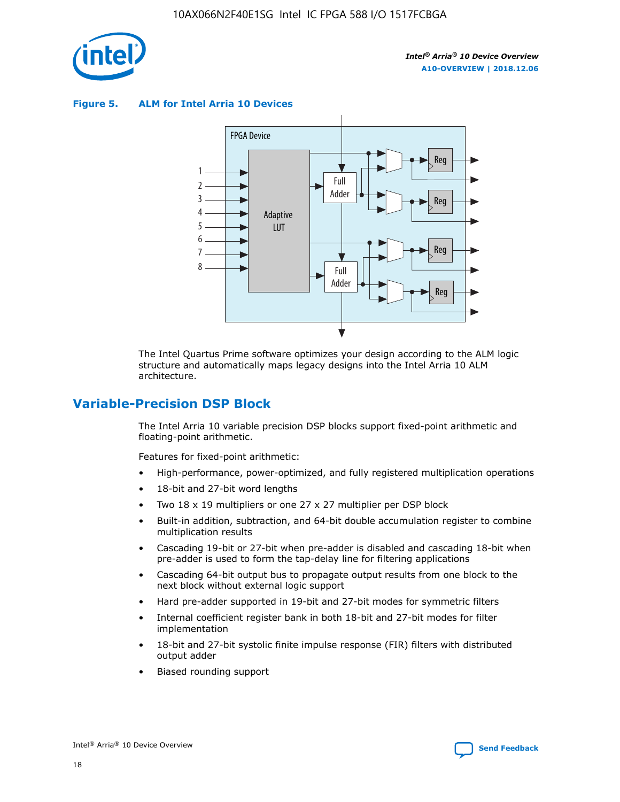

**Figure 5. ALM for Intel Arria 10 Devices**



The Intel Quartus Prime software optimizes your design according to the ALM logic structure and automatically maps legacy designs into the Intel Arria 10 ALM architecture.

# **Variable-Precision DSP Block**

The Intel Arria 10 variable precision DSP blocks support fixed-point arithmetic and floating-point arithmetic.

Features for fixed-point arithmetic:

- High-performance, power-optimized, and fully registered multiplication operations
- 18-bit and 27-bit word lengths
- Two 18 x 19 multipliers or one 27 x 27 multiplier per DSP block
- Built-in addition, subtraction, and 64-bit double accumulation register to combine multiplication results
- Cascading 19-bit or 27-bit when pre-adder is disabled and cascading 18-bit when pre-adder is used to form the tap-delay line for filtering applications
- Cascading 64-bit output bus to propagate output results from one block to the next block without external logic support
- Hard pre-adder supported in 19-bit and 27-bit modes for symmetric filters
- Internal coefficient register bank in both 18-bit and 27-bit modes for filter implementation
- 18-bit and 27-bit systolic finite impulse response (FIR) filters with distributed output adder
- Biased rounding support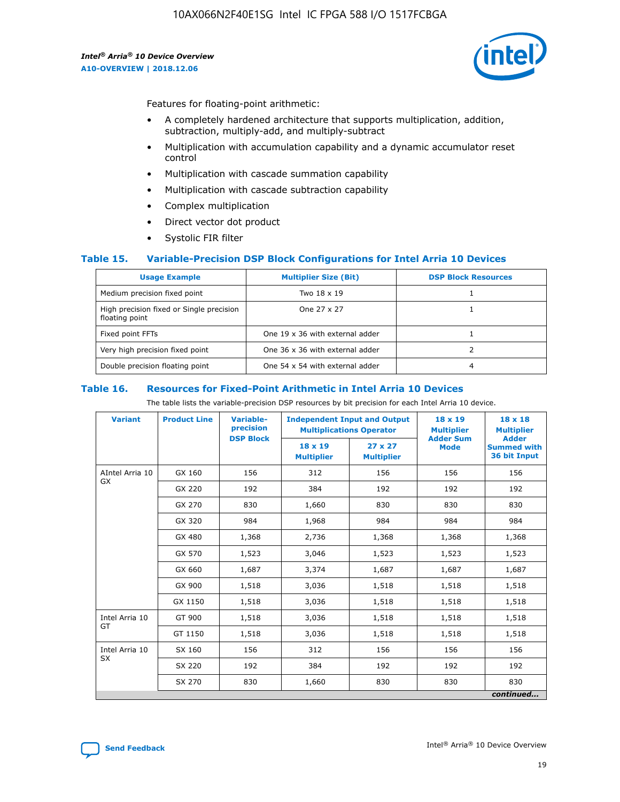

Features for floating-point arithmetic:

- A completely hardened architecture that supports multiplication, addition, subtraction, multiply-add, and multiply-subtract
- Multiplication with accumulation capability and a dynamic accumulator reset control
- Multiplication with cascade summation capability
- Multiplication with cascade subtraction capability
- Complex multiplication
- Direct vector dot product
- Systolic FIR filter

#### **Table 15. Variable-Precision DSP Block Configurations for Intel Arria 10 Devices**

| <b>Usage Example</b>                                       | <b>Multiplier Size (Bit)</b>    | <b>DSP Block Resources</b> |
|------------------------------------------------------------|---------------------------------|----------------------------|
| Medium precision fixed point                               | Two 18 x 19                     |                            |
| High precision fixed or Single precision<br>floating point | One 27 x 27                     |                            |
| Fixed point FFTs                                           | One 19 x 36 with external adder |                            |
| Very high precision fixed point                            | One 36 x 36 with external adder |                            |
| Double precision floating point                            | One 54 x 54 with external adder | 4                          |

#### **Table 16. Resources for Fixed-Point Arithmetic in Intel Arria 10 Devices**

The table lists the variable-precision DSP resources by bit precision for each Intel Arria 10 device.

| <b>Variant</b>        | <b>Product Line</b> | <b>Variable-</b><br>precision<br><b>DSP Block</b> | <b>Independent Input and Output</b><br><b>Multiplications Operator</b> |                                     | 18 x 19<br><b>Multiplier</b><br><b>Adder Sum</b> | $18 \times 18$<br><b>Multiplier</b><br><b>Adder</b> |
|-----------------------|---------------------|---------------------------------------------------|------------------------------------------------------------------------|-------------------------------------|--------------------------------------------------|-----------------------------------------------------|
|                       |                     |                                                   | 18 x 19<br><b>Multiplier</b>                                           | $27 \times 27$<br><b>Multiplier</b> | <b>Mode</b>                                      | <b>Summed with</b><br>36 bit Input                  |
| AIntel Arria 10<br>GX | GX 160              | 156                                               | 312                                                                    | 156                                 | 156                                              | 156                                                 |
|                       | GX 220              | 192                                               | 384                                                                    | 192                                 | 192                                              | 192                                                 |
|                       | GX 270              | 830                                               | 1,660                                                                  | 830                                 | 830                                              | 830                                                 |
|                       | GX 320              | 984                                               | 1,968                                                                  | 984                                 | 984                                              | 984                                                 |
|                       | GX 480              | 1,368                                             | 2,736                                                                  | 1,368                               | 1,368                                            | 1,368                                               |
|                       | GX 570              | 1,523                                             | 3,046                                                                  | 1,523                               | 1,523                                            | 1,523                                               |
|                       | GX 660              | 1,687                                             | 3,374                                                                  | 1,687                               | 1,687                                            | 1,687                                               |
|                       | GX 900              | 1,518                                             | 3,036                                                                  | 1,518                               | 1,518                                            | 1,518                                               |
|                       | GX 1150             | 1,518                                             | 3,036                                                                  | 1,518                               | 1,518                                            | 1,518                                               |
| Intel Arria 10        | GT 900              | 1,518                                             | 3,036                                                                  | 1,518                               | 1,518                                            | 1,518                                               |
| GT                    | GT 1150             | 1,518                                             | 3,036                                                                  | 1,518                               | 1,518                                            | 1,518                                               |
| Intel Arria 10        | SX 160              | 156                                               | 312                                                                    | 156                                 | 156                                              | 156                                                 |
| <b>SX</b>             | SX 220              | 192                                               | 384                                                                    | 192                                 | 192                                              | 192                                                 |
|                       | SX 270              | 830                                               | 1,660                                                                  | 830                                 | 830                                              | 830                                                 |
|                       |                     |                                                   |                                                                        |                                     |                                                  | continued                                           |

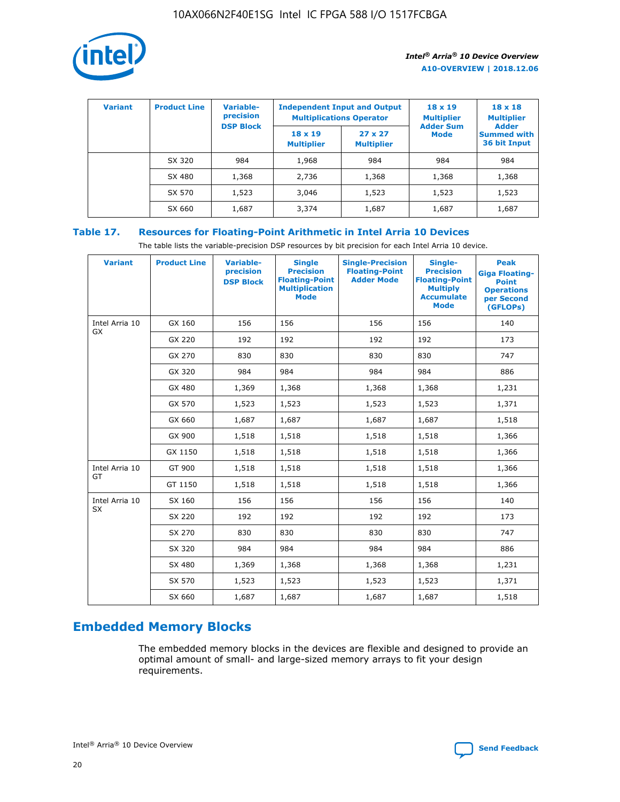

| <b>Variant</b> | <b>Product Line</b> | Variable-<br>precision | <b>Independent Input and Output</b><br><b>Multiplications Operator</b> |                                     | $18 \times 19$<br><b>Multiplier</b> | $18 \times 18$<br><b>Multiplier</b><br><b>Adder</b> |  |
|----------------|---------------------|------------------------|------------------------------------------------------------------------|-------------------------------------|-------------------------------------|-----------------------------------------------------|--|
|                |                     | <b>DSP Block</b>       | $18 \times 19$<br><b>Multiplier</b>                                    | $27 \times 27$<br><b>Multiplier</b> | <b>Adder Sum</b><br><b>Mode</b>     | <b>Summed with</b><br>36 bit Input                  |  |
|                | SX 320              | 984                    | 1,968                                                                  | 984                                 | 984                                 | 984                                                 |  |
|                | SX 480              | 1,368                  | 2,736                                                                  | 1,368                               | 1,368                               | 1,368                                               |  |
|                | SX 570              | 1,523                  | 3,046                                                                  | 1,523                               | 1,523                               | 1,523                                               |  |
|                | SX 660              | 1,687                  | 3,374                                                                  | 1,687                               | 1,687                               | 1,687                                               |  |

# **Table 17. Resources for Floating-Point Arithmetic in Intel Arria 10 Devices**

The table lists the variable-precision DSP resources by bit precision for each Intel Arria 10 device.

| <b>Variant</b> | <b>Product Line</b> | <b>Variable-</b><br>precision<br><b>DSP Block</b> | <b>Single</b><br><b>Precision</b><br><b>Floating-Point</b><br><b>Multiplication</b><br><b>Mode</b> | <b>Single-Precision</b><br><b>Floating-Point</b><br><b>Adder Mode</b> | Single-<br><b>Precision</b><br><b>Floating-Point</b><br><b>Multiply</b><br><b>Accumulate</b><br><b>Mode</b> | <b>Peak</b><br><b>Giga Floating-</b><br><b>Point</b><br><b>Operations</b><br>per Second<br>(GFLOPs) |
|----------------|---------------------|---------------------------------------------------|----------------------------------------------------------------------------------------------------|-----------------------------------------------------------------------|-------------------------------------------------------------------------------------------------------------|-----------------------------------------------------------------------------------------------------|
| Intel Arria 10 | GX 160              | 156                                               | 156                                                                                                | 156                                                                   | 156                                                                                                         | 140                                                                                                 |
| GX             | GX 220              | 192                                               | 192                                                                                                | 192                                                                   | 192                                                                                                         | 173                                                                                                 |
|                | GX 270              | 830                                               | 830                                                                                                | 830                                                                   | 830                                                                                                         | 747                                                                                                 |
|                | GX 320              | 984                                               | 984                                                                                                | 984                                                                   | 984                                                                                                         | 886                                                                                                 |
|                | GX 480              | 1,369                                             | 1,368                                                                                              | 1,368                                                                 | 1,368                                                                                                       | 1,231                                                                                               |
|                | GX 570              | 1,523                                             | 1,523                                                                                              | 1,523                                                                 | 1,523                                                                                                       | 1,371                                                                                               |
|                | GX 660              | 1,687                                             | 1,687                                                                                              | 1,687                                                                 | 1,687                                                                                                       | 1,518                                                                                               |
|                | GX 900              | 1,518                                             | 1,518                                                                                              | 1,518                                                                 | 1,518                                                                                                       | 1,366                                                                                               |
|                | GX 1150             | 1,518                                             | 1,518                                                                                              | 1,518                                                                 | 1,518                                                                                                       | 1,366                                                                                               |
| Intel Arria 10 | GT 900              | 1,518                                             | 1,518                                                                                              | 1,518                                                                 | 1,518                                                                                                       | 1,366                                                                                               |
| GT             | GT 1150             | 1,518                                             | 1,518                                                                                              | 1,518                                                                 | 1,518                                                                                                       | 1,366                                                                                               |
| Intel Arria 10 | SX 160              | 156                                               | 156                                                                                                | 156                                                                   | 156                                                                                                         | 140                                                                                                 |
| SX             | SX 220              | 192                                               | 192                                                                                                | 192                                                                   | 192                                                                                                         | 173                                                                                                 |
|                | SX 270              | 830                                               | 830                                                                                                | 830                                                                   | 830                                                                                                         | 747                                                                                                 |
|                | SX 320              | 984                                               | 984                                                                                                | 984                                                                   | 984                                                                                                         | 886                                                                                                 |
|                | SX 480              | 1,369                                             | 1,368                                                                                              | 1,368                                                                 | 1,368                                                                                                       | 1,231                                                                                               |
|                | SX 570              | 1,523                                             | 1,523                                                                                              | 1,523                                                                 | 1,523                                                                                                       | 1,371                                                                                               |
|                | SX 660              | 1,687                                             | 1,687                                                                                              | 1,687                                                                 | 1,687                                                                                                       | 1,518                                                                                               |

# **Embedded Memory Blocks**

The embedded memory blocks in the devices are flexible and designed to provide an optimal amount of small- and large-sized memory arrays to fit your design requirements.

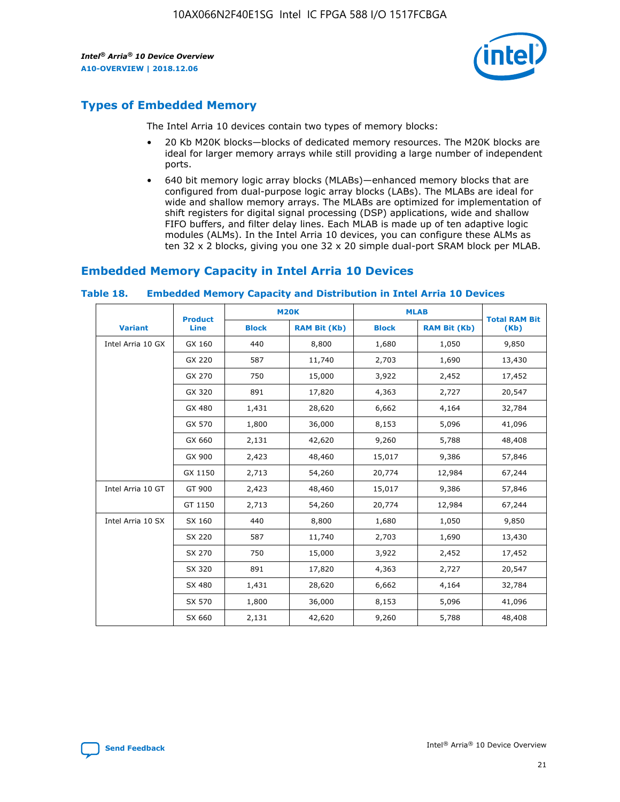

# **Types of Embedded Memory**

The Intel Arria 10 devices contain two types of memory blocks:

- 20 Kb M20K blocks—blocks of dedicated memory resources. The M20K blocks are ideal for larger memory arrays while still providing a large number of independent ports.
- 640 bit memory logic array blocks (MLABs)—enhanced memory blocks that are configured from dual-purpose logic array blocks (LABs). The MLABs are ideal for wide and shallow memory arrays. The MLABs are optimized for implementation of shift registers for digital signal processing (DSP) applications, wide and shallow FIFO buffers, and filter delay lines. Each MLAB is made up of ten adaptive logic modules (ALMs). In the Intel Arria 10 devices, you can configure these ALMs as ten 32 x 2 blocks, giving you one 32 x 20 simple dual-port SRAM block per MLAB.

# **Embedded Memory Capacity in Intel Arria 10 Devices**

|                   | <b>Product</b> |              | <b>M20K</b>         | <b>MLAB</b>  |                     | <b>Total RAM Bit</b> |
|-------------------|----------------|--------------|---------------------|--------------|---------------------|----------------------|
| <b>Variant</b>    | <b>Line</b>    | <b>Block</b> | <b>RAM Bit (Kb)</b> | <b>Block</b> | <b>RAM Bit (Kb)</b> | (Kb)                 |
| Intel Arria 10 GX | GX 160         | 440          | 8,800               | 1,680        | 1,050               | 9,850                |
|                   | GX 220         | 587          | 11,740              | 2,703        | 1,690               | 13,430               |
|                   | GX 270         | 750          | 15,000              | 3,922        | 2,452               | 17,452               |
|                   | GX 320         | 891          | 17,820              | 4,363        | 2,727               | 20,547               |
|                   | GX 480         | 1,431        | 28,620              | 6,662        | 4,164               | 32,784               |
|                   | GX 570         | 1,800        | 36,000              | 8,153        | 5,096               | 41,096               |
|                   | GX 660         | 2,131        | 42,620              | 9,260        | 5,788               | 48,408               |
|                   | GX 900         | 2,423        | 48,460              | 15,017       | 9,386               | 57,846               |
|                   | GX 1150        | 2,713        | 54,260              | 20,774       | 12,984              | 67,244               |
| Intel Arria 10 GT | GT 900         | 2,423        | 48,460              | 15,017       | 9,386               | 57,846               |
|                   | GT 1150        | 2,713        | 54,260              | 20,774       | 12,984              | 67,244               |
| Intel Arria 10 SX | SX 160         | 440          | 8,800               | 1,680        | 1,050               | 9,850                |
|                   | SX 220         | 587          | 11,740              | 2,703        | 1,690               | 13,430               |
|                   | SX 270         | 750          | 15,000              | 3,922        | 2,452               | 17,452               |
|                   | SX 320         | 891          | 17,820              | 4,363        | 2,727               | 20,547               |
|                   | SX 480         | 1,431        | 28,620              | 6,662        | 4,164               | 32,784               |
|                   | SX 570         | 1,800        | 36,000              | 8,153        | 5,096               | 41,096               |
|                   | SX 660         | 2,131        | 42,620              | 9,260        | 5,788               | 48,408               |

#### **Table 18. Embedded Memory Capacity and Distribution in Intel Arria 10 Devices**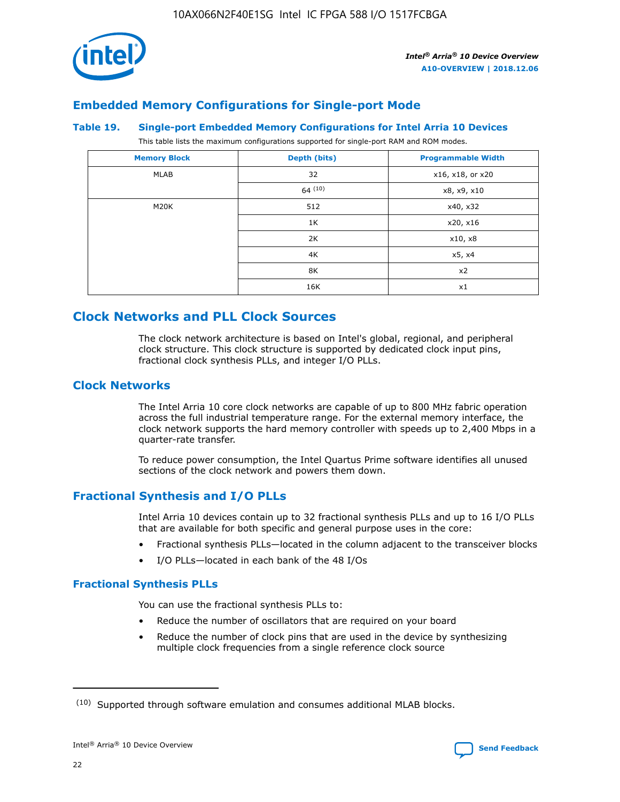

# **Embedded Memory Configurations for Single-port Mode**

#### **Table 19. Single-port Embedded Memory Configurations for Intel Arria 10 Devices**

This table lists the maximum configurations supported for single-port RAM and ROM modes.

| <b>Memory Block</b> | Depth (bits) | <b>Programmable Width</b> |
|---------------------|--------------|---------------------------|
| MLAB                | 32           | x16, x18, or x20          |
|                     | 64(10)       | x8, x9, x10               |
| M20K                | 512          | x40, x32                  |
|                     | 1K           | x20, x16                  |
|                     | 2K           | x10, x8                   |
|                     | 4K           | x5, x4                    |
|                     | 8K           | x2                        |
|                     | 16K          | x1                        |

# **Clock Networks and PLL Clock Sources**

The clock network architecture is based on Intel's global, regional, and peripheral clock structure. This clock structure is supported by dedicated clock input pins, fractional clock synthesis PLLs, and integer I/O PLLs.

# **Clock Networks**

The Intel Arria 10 core clock networks are capable of up to 800 MHz fabric operation across the full industrial temperature range. For the external memory interface, the clock network supports the hard memory controller with speeds up to 2,400 Mbps in a quarter-rate transfer.

To reduce power consumption, the Intel Quartus Prime software identifies all unused sections of the clock network and powers them down.

# **Fractional Synthesis and I/O PLLs**

Intel Arria 10 devices contain up to 32 fractional synthesis PLLs and up to 16 I/O PLLs that are available for both specific and general purpose uses in the core:

- Fractional synthesis PLLs—located in the column adjacent to the transceiver blocks
- I/O PLLs—located in each bank of the 48 I/Os

## **Fractional Synthesis PLLs**

You can use the fractional synthesis PLLs to:

- Reduce the number of oscillators that are required on your board
- Reduce the number of clock pins that are used in the device by synthesizing multiple clock frequencies from a single reference clock source

<sup>(10)</sup> Supported through software emulation and consumes additional MLAB blocks.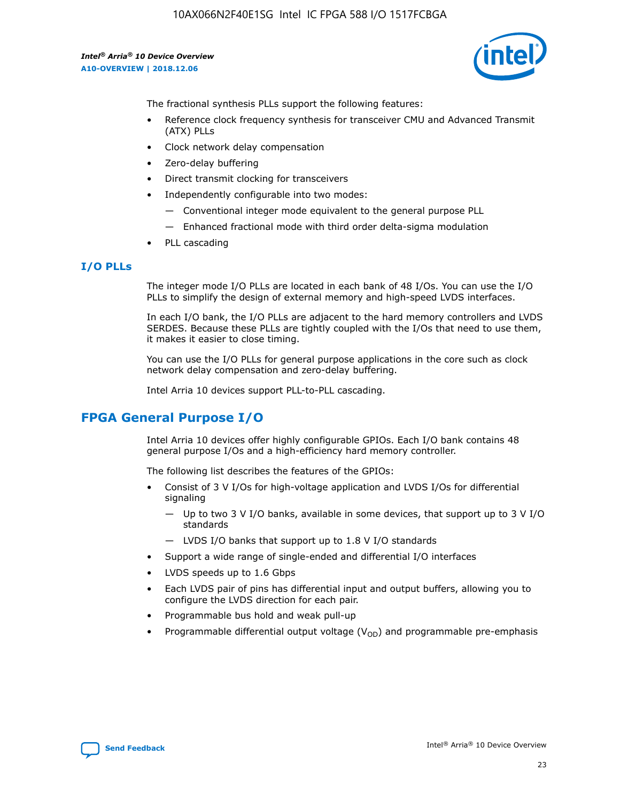

The fractional synthesis PLLs support the following features:

- Reference clock frequency synthesis for transceiver CMU and Advanced Transmit (ATX) PLLs
- Clock network delay compensation
- Zero-delay buffering
- Direct transmit clocking for transceivers
- Independently configurable into two modes:
	- Conventional integer mode equivalent to the general purpose PLL
	- Enhanced fractional mode with third order delta-sigma modulation
- PLL cascading

## **I/O PLLs**

The integer mode I/O PLLs are located in each bank of 48 I/Os. You can use the I/O PLLs to simplify the design of external memory and high-speed LVDS interfaces.

In each I/O bank, the I/O PLLs are adjacent to the hard memory controllers and LVDS SERDES. Because these PLLs are tightly coupled with the I/Os that need to use them, it makes it easier to close timing.

You can use the I/O PLLs for general purpose applications in the core such as clock network delay compensation and zero-delay buffering.

Intel Arria 10 devices support PLL-to-PLL cascading.

# **FPGA General Purpose I/O**

Intel Arria 10 devices offer highly configurable GPIOs. Each I/O bank contains 48 general purpose I/Os and a high-efficiency hard memory controller.

The following list describes the features of the GPIOs:

- Consist of 3 V I/Os for high-voltage application and LVDS I/Os for differential signaling
	- Up to two 3 V I/O banks, available in some devices, that support up to 3 V I/O standards
	- LVDS I/O banks that support up to 1.8 V I/O standards
- Support a wide range of single-ended and differential I/O interfaces
- LVDS speeds up to 1.6 Gbps
- Each LVDS pair of pins has differential input and output buffers, allowing you to configure the LVDS direction for each pair.
- Programmable bus hold and weak pull-up
- Programmable differential output voltage  $(V_{OD})$  and programmable pre-emphasis

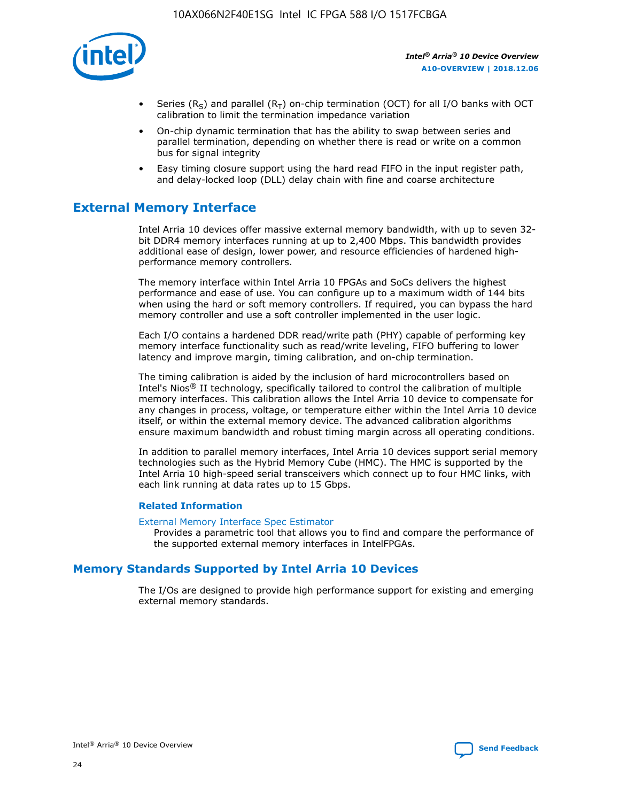

- Series (R<sub>S</sub>) and parallel (R<sub>T</sub>) on-chip termination (OCT) for all I/O banks with OCT calibration to limit the termination impedance variation
- On-chip dynamic termination that has the ability to swap between series and parallel termination, depending on whether there is read or write on a common bus for signal integrity
- Easy timing closure support using the hard read FIFO in the input register path, and delay-locked loop (DLL) delay chain with fine and coarse architecture

# **External Memory Interface**

Intel Arria 10 devices offer massive external memory bandwidth, with up to seven 32 bit DDR4 memory interfaces running at up to 2,400 Mbps. This bandwidth provides additional ease of design, lower power, and resource efficiencies of hardened highperformance memory controllers.

The memory interface within Intel Arria 10 FPGAs and SoCs delivers the highest performance and ease of use. You can configure up to a maximum width of 144 bits when using the hard or soft memory controllers. If required, you can bypass the hard memory controller and use a soft controller implemented in the user logic.

Each I/O contains a hardened DDR read/write path (PHY) capable of performing key memory interface functionality such as read/write leveling, FIFO buffering to lower latency and improve margin, timing calibration, and on-chip termination.

The timing calibration is aided by the inclusion of hard microcontrollers based on Intel's Nios® II technology, specifically tailored to control the calibration of multiple memory interfaces. This calibration allows the Intel Arria 10 device to compensate for any changes in process, voltage, or temperature either within the Intel Arria 10 device itself, or within the external memory device. The advanced calibration algorithms ensure maximum bandwidth and robust timing margin across all operating conditions.

In addition to parallel memory interfaces, Intel Arria 10 devices support serial memory technologies such as the Hybrid Memory Cube (HMC). The HMC is supported by the Intel Arria 10 high-speed serial transceivers which connect up to four HMC links, with each link running at data rates up to 15 Gbps.

#### **Related Information**

#### [External Memory Interface Spec Estimator](http://www.altera.com/technology/memory/estimator/mem-emif-index.html)

Provides a parametric tool that allows you to find and compare the performance of the supported external memory interfaces in IntelFPGAs.

# **Memory Standards Supported by Intel Arria 10 Devices**

The I/Os are designed to provide high performance support for existing and emerging external memory standards.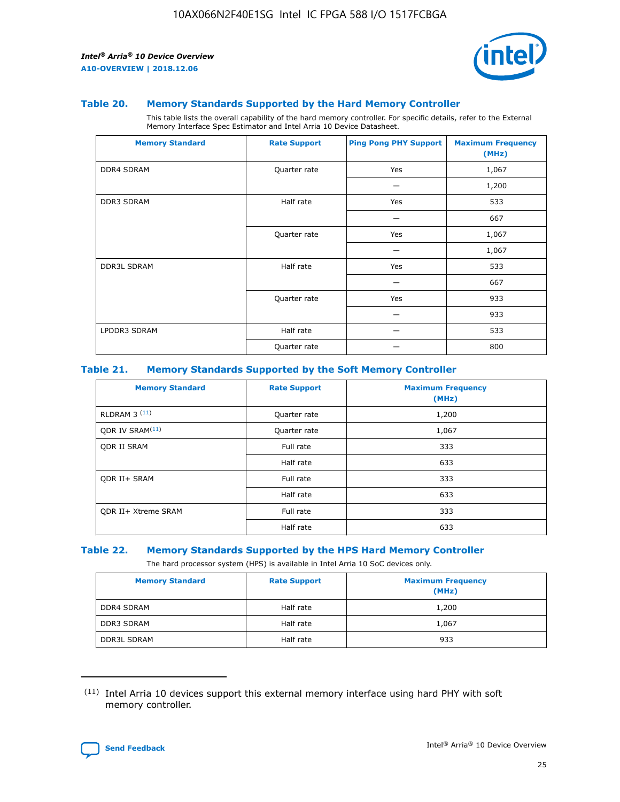

#### **Table 20. Memory Standards Supported by the Hard Memory Controller**

This table lists the overall capability of the hard memory controller. For specific details, refer to the External Memory Interface Spec Estimator and Intel Arria 10 Device Datasheet.

| <b>Memory Standard</b> | <b>Rate Support</b> | <b>Ping Pong PHY Support</b> | <b>Maximum Frequency</b><br>(MHz) |
|------------------------|---------------------|------------------------------|-----------------------------------|
| <b>DDR4 SDRAM</b>      | Quarter rate        | Yes                          | 1,067                             |
|                        |                     |                              | 1,200                             |
| <b>DDR3 SDRAM</b>      | Half rate           | Yes                          | 533                               |
|                        |                     |                              | 667                               |
|                        | Quarter rate        | Yes                          | 1,067                             |
|                        |                     |                              | 1,067                             |
| <b>DDR3L SDRAM</b>     | Half rate           | Yes                          | 533                               |
|                        |                     |                              | 667                               |
|                        | Quarter rate        | Yes                          | 933                               |
|                        |                     |                              | 933                               |
| LPDDR3 SDRAM           | Half rate           |                              | 533                               |
|                        | Quarter rate        |                              | 800                               |

#### **Table 21. Memory Standards Supported by the Soft Memory Controller**

| <b>Memory Standard</b>      | <b>Rate Support</b> | <b>Maximum Frequency</b><br>(MHz) |
|-----------------------------|---------------------|-----------------------------------|
| <b>RLDRAM 3 (11)</b>        | Quarter rate        | 1,200                             |
| ODR IV SRAM <sup>(11)</sup> | Quarter rate        | 1,067                             |
| <b>ODR II SRAM</b>          | Full rate           | 333                               |
|                             | Half rate           | 633                               |
| <b>ODR II+ SRAM</b>         | Full rate           | 333                               |
|                             | Half rate           | 633                               |
| <b>ODR II+ Xtreme SRAM</b>  | Full rate           | 333                               |
|                             | Half rate           | 633                               |

#### **Table 22. Memory Standards Supported by the HPS Hard Memory Controller**

The hard processor system (HPS) is available in Intel Arria 10 SoC devices only.

| <b>Memory Standard</b> | <b>Rate Support</b> | <b>Maximum Frequency</b><br>(MHz) |
|------------------------|---------------------|-----------------------------------|
| <b>DDR4 SDRAM</b>      | Half rate           | 1,200                             |
| <b>DDR3 SDRAM</b>      | Half rate           | 1,067                             |
| <b>DDR3L SDRAM</b>     | Half rate           | 933                               |

<sup>(11)</sup> Intel Arria 10 devices support this external memory interface using hard PHY with soft memory controller.

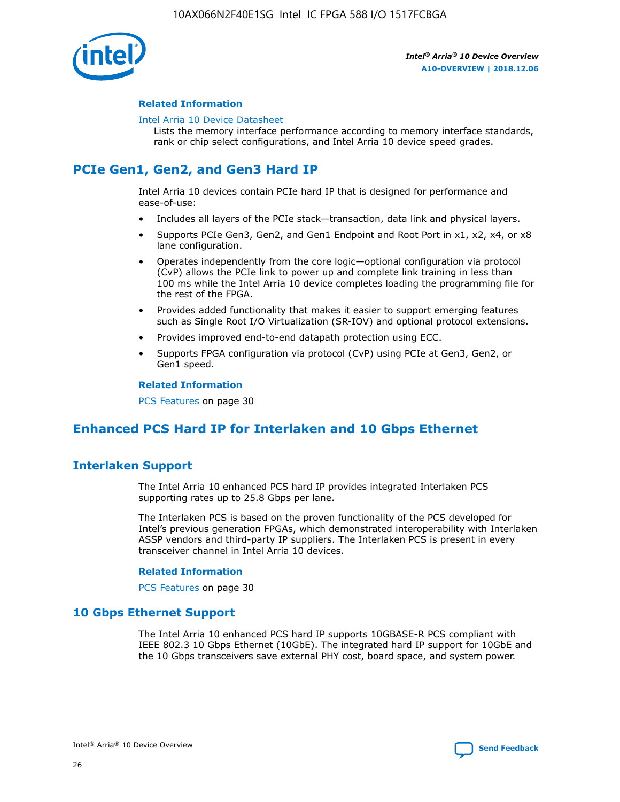

#### **Related Information**

#### [Intel Arria 10 Device Datasheet](https://www.intel.com/content/www/us/en/programmable/documentation/mcn1413182292568.html#mcn1413182153340)

Lists the memory interface performance according to memory interface standards, rank or chip select configurations, and Intel Arria 10 device speed grades.

# **PCIe Gen1, Gen2, and Gen3 Hard IP**

Intel Arria 10 devices contain PCIe hard IP that is designed for performance and ease-of-use:

- Includes all layers of the PCIe stack—transaction, data link and physical layers.
- Supports PCIe Gen3, Gen2, and Gen1 Endpoint and Root Port in x1, x2, x4, or x8 lane configuration.
- Operates independently from the core logic—optional configuration via protocol (CvP) allows the PCIe link to power up and complete link training in less than 100 ms while the Intel Arria 10 device completes loading the programming file for the rest of the FPGA.
- Provides added functionality that makes it easier to support emerging features such as Single Root I/O Virtualization (SR-IOV) and optional protocol extensions.
- Provides improved end-to-end datapath protection using ECC.
- Supports FPGA configuration via protocol (CvP) using PCIe at Gen3, Gen2, or Gen1 speed.

#### **Related Information**

PCS Features on page 30

# **Enhanced PCS Hard IP for Interlaken and 10 Gbps Ethernet**

# **Interlaken Support**

The Intel Arria 10 enhanced PCS hard IP provides integrated Interlaken PCS supporting rates up to 25.8 Gbps per lane.

The Interlaken PCS is based on the proven functionality of the PCS developed for Intel's previous generation FPGAs, which demonstrated interoperability with Interlaken ASSP vendors and third-party IP suppliers. The Interlaken PCS is present in every transceiver channel in Intel Arria 10 devices.

#### **Related Information**

PCS Features on page 30

## **10 Gbps Ethernet Support**

The Intel Arria 10 enhanced PCS hard IP supports 10GBASE-R PCS compliant with IEEE 802.3 10 Gbps Ethernet (10GbE). The integrated hard IP support for 10GbE and the 10 Gbps transceivers save external PHY cost, board space, and system power.

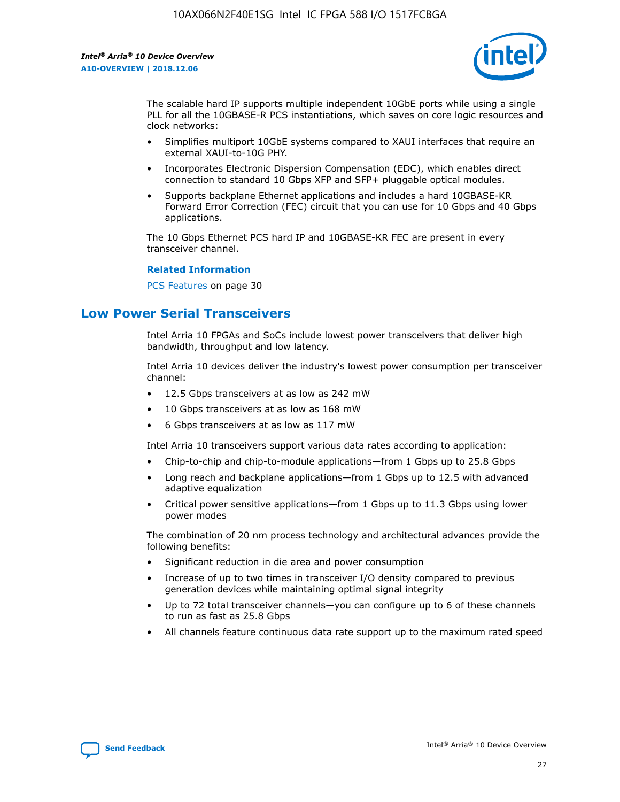

The scalable hard IP supports multiple independent 10GbE ports while using a single PLL for all the 10GBASE-R PCS instantiations, which saves on core logic resources and clock networks:

- Simplifies multiport 10GbE systems compared to XAUI interfaces that require an external XAUI-to-10G PHY.
- Incorporates Electronic Dispersion Compensation (EDC), which enables direct connection to standard 10 Gbps XFP and SFP+ pluggable optical modules.
- Supports backplane Ethernet applications and includes a hard 10GBASE-KR Forward Error Correction (FEC) circuit that you can use for 10 Gbps and 40 Gbps applications.

The 10 Gbps Ethernet PCS hard IP and 10GBASE-KR FEC are present in every transceiver channel.

#### **Related Information**

PCS Features on page 30

# **Low Power Serial Transceivers**

Intel Arria 10 FPGAs and SoCs include lowest power transceivers that deliver high bandwidth, throughput and low latency.

Intel Arria 10 devices deliver the industry's lowest power consumption per transceiver channel:

- 12.5 Gbps transceivers at as low as 242 mW
- 10 Gbps transceivers at as low as 168 mW
- 6 Gbps transceivers at as low as 117 mW

Intel Arria 10 transceivers support various data rates according to application:

- Chip-to-chip and chip-to-module applications—from 1 Gbps up to 25.8 Gbps
- Long reach and backplane applications—from 1 Gbps up to 12.5 with advanced adaptive equalization
- Critical power sensitive applications—from 1 Gbps up to 11.3 Gbps using lower power modes

The combination of 20 nm process technology and architectural advances provide the following benefits:

- Significant reduction in die area and power consumption
- Increase of up to two times in transceiver I/O density compared to previous generation devices while maintaining optimal signal integrity
- Up to 72 total transceiver channels—you can configure up to 6 of these channels to run as fast as 25.8 Gbps
- All channels feature continuous data rate support up to the maximum rated speed

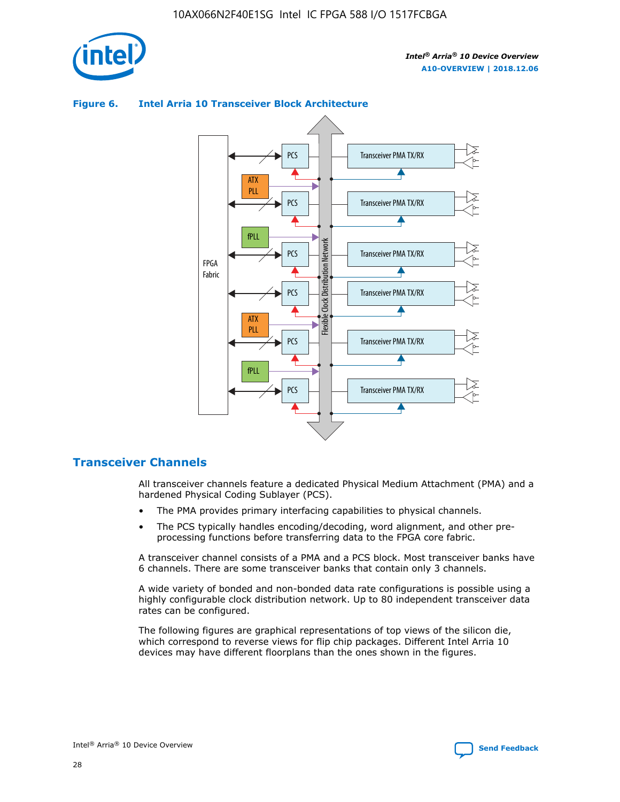

# Transceiver PMA TX/RX PCS ATX PLL Transceiver PMA TX/RX PCS fPLL Network Flexible Clock Distribution Network PCS Transceiver PMA TX/RX FPGA **Clock Distribution** Fabric PCS Transceiver PMA TX/RX ATX Flexible PLL PCS Transceiver PMA TX/RX ▲ fPLL Transceiver PMA TX/RX PCS 4

## **Figure 6. Intel Arria 10 Transceiver Block Architecture**

# **Transceiver Channels**

All transceiver channels feature a dedicated Physical Medium Attachment (PMA) and a hardened Physical Coding Sublayer (PCS).

- The PMA provides primary interfacing capabilities to physical channels.
- The PCS typically handles encoding/decoding, word alignment, and other preprocessing functions before transferring data to the FPGA core fabric.

A transceiver channel consists of a PMA and a PCS block. Most transceiver banks have 6 channels. There are some transceiver banks that contain only 3 channels.

A wide variety of bonded and non-bonded data rate configurations is possible using a highly configurable clock distribution network. Up to 80 independent transceiver data rates can be configured.

The following figures are graphical representations of top views of the silicon die, which correspond to reverse views for flip chip packages. Different Intel Arria 10 devices may have different floorplans than the ones shown in the figures.

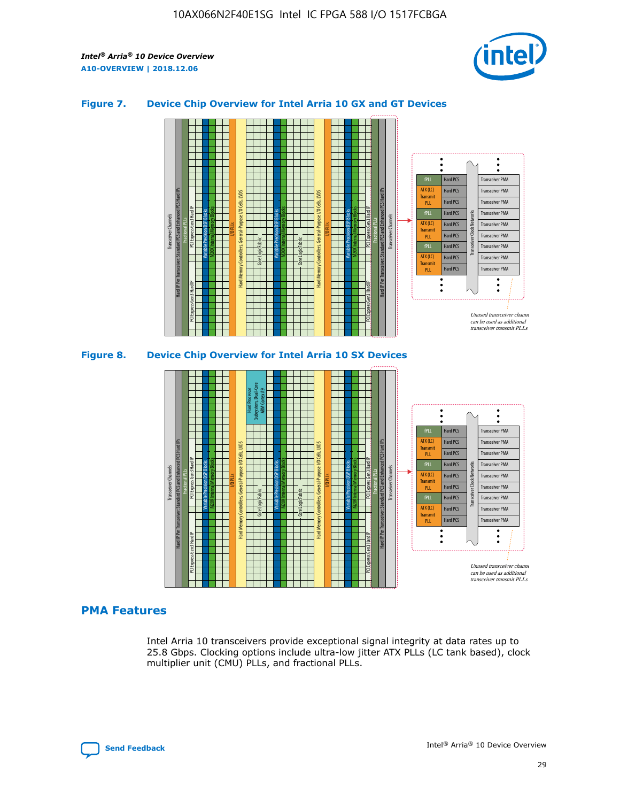

#### **Figure 7. Device Chip Overview for Intel Arria 10 GX and GT Devices**



M20K Internal Memory Blocks Core Logic Fabric Transceiver Channels Hard IP Per Transceiver: Standard PCS and Enhanced PCS Hard IPs PCI Express Gen3 Hard IP Fractional PLLs M20K Internal Memory Blocks PCI Express Gen3 Hard IP Variable Precision DSP Blocks I/O PLLs Hard Memory Controllers, General-Purpose I/O Cells, LVDS Hard Processor Subsystem, Dual-Core ARM Cortex A9 M20K Internal Memory Blocks Variable Precision DSP Blocks M20K Internal Memory Blocks Core Logic Fabric I/O PLLs Hard Memory Controllers, General-Purpose I/O Cells, LVDS M20K Internal Memory Blocks Variable Precision DSP Blocks M20K Internal Memory Blocks Transceiver Channels Hard IP Per Transceiver: Standard PCS and Enhanced PCS Hard IPs PCI Express Gen3 Hard IP Fractional PLLs PCI Express Gen3 Hard IP Hard PCS Hard PCS Hard PCS Hard PCS Hard PCS Hard PCS Hard PCS Hard PCS Hard PCS Transceiver PMA Transceiver PMA Transceiver PMA Transceiver PMA Transceiver PMA Transceiver PMA Transceiver PMA Unused transceiver chann can be used as additional transceiver transmit PLLs Transceiver PMA Transceiver PMA Transceiver Clock Networks ATX (LC) **Transmit** PLL fPLL ATX (LC) Transmi PLL fPLL ATX (LC) **Transmit** PLL

## **PMA Features**

Intel Arria 10 transceivers provide exceptional signal integrity at data rates up to 25.8 Gbps. Clocking options include ultra-low jitter ATX PLLs (LC tank based), clock multiplier unit (CMU) PLLs, and fractional PLLs.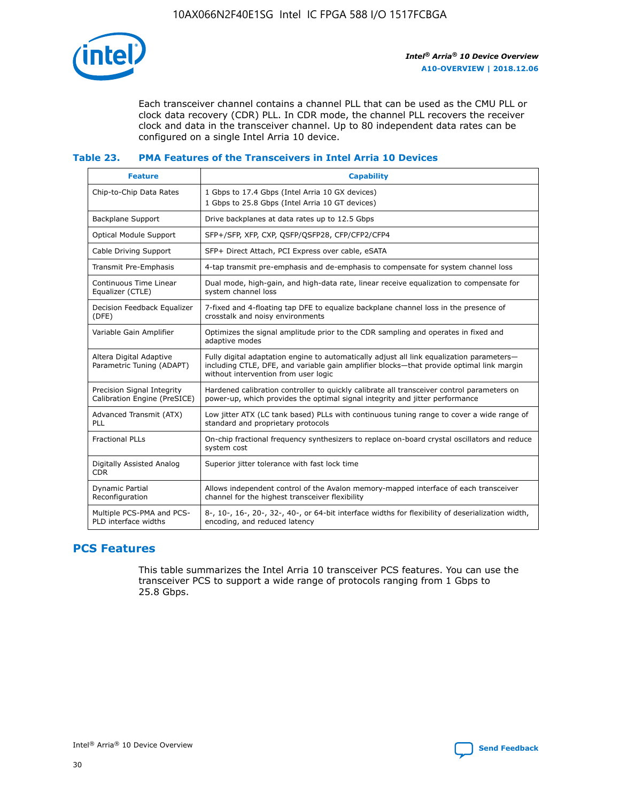

Each transceiver channel contains a channel PLL that can be used as the CMU PLL or clock data recovery (CDR) PLL. In CDR mode, the channel PLL recovers the receiver clock and data in the transceiver channel. Up to 80 independent data rates can be configured on a single Intel Arria 10 device.

## **Table 23. PMA Features of the Transceivers in Intel Arria 10 Devices**

| <b>Feature</b>                                             | <b>Capability</b>                                                                                                                                                                                                             |
|------------------------------------------------------------|-------------------------------------------------------------------------------------------------------------------------------------------------------------------------------------------------------------------------------|
| Chip-to-Chip Data Rates                                    | 1 Gbps to 17.4 Gbps (Intel Arria 10 GX devices)<br>1 Gbps to 25.8 Gbps (Intel Arria 10 GT devices)                                                                                                                            |
| <b>Backplane Support</b>                                   | Drive backplanes at data rates up to 12.5 Gbps                                                                                                                                                                                |
| Optical Module Support                                     | SFP+/SFP, XFP, CXP, QSFP/QSFP28, CFP/CFP2/CFP4                                                                                                                                                                                |
| Cable Driving Support                                      | SFP+ Direct Attach, PCI Express over cable, eSATA                                                                                                                                                                             |
| Transmit Pre-Emphasis                                      | 4-tap transmit pre-emphasis and de-emphasis to compensate for system channel loss                                                                                                                                             |
| Continuous Time Linear<br>Equalizer (CTLE)                 | Dual mode, high-gain, and high-data rate, linear receive equalization to compensate for<br>system channel loss                                                                                                                |
| Decision Feedback Equalizer<br>(DFE)                       | 7-fixed and 4-floating tap DFE to equalize backplane channel loss in the presence of<br>crosstalk and noisy environments                                                                                                      |
| Variable Gain Amplifier                                    | Optimizes the signal amplitude prior to the CDR sampling and operates in fixed and<br>adaptive modes                                                                                                                          |
| Altera Digital Adaptive<br>Parametric Tuning (ADAPT)       | Fully digital adaptation engine to automatically adjust all link equalization parameters-<br>including CTLE, DFE, and variable gain amplifier blocks—that provide optimal link margin<br>without intervention from user logic |
| Precision Signal Integrity<br>Calibration Engine (PreSICE) | Hardened calibration controller to quickly calibrate all transceiver control parameters on<br>power-up, which provides the optimal signal integrity and jitter performance                                                    |
| Advanced Transmit (ATX)<br><b>PLL</b>                      | Low jitter ATX (LC tank based) PLLs with continuous tuning range to cover a wide range of<br>standard and proprietary protocols                                                                                               |
| <b>Fractional PLLs</b>                                     | On-chip fractional frequency synthesizers to replace on-board crystal oscillators and reduce<br>system cost                                                                                                                   |
| Digitally Assisted Analog<br><b>CDR</b>                    | Superior jitter tolerance with fast lock time                                                                                                                                                                                 |
| Dynamic Partial<br>Reconfiguration                         | Allows independent control of the Avalon memory-mapped interface of each transceiver<br>channel for the highest transceiver flexibility                                                                                       |
| Multiple PCS-PMA and PCS-<br>PLD interface widths          | 8-, 10-, 16-, 20-, 32-, 40-, or 64-bit interface widths for flexibility of deserialization width,<br>encoding, and reduced latency                                                                                            |

# **PCS Features**

This table summarizes the Intel Arria 10 transceiver PCS features. You can use the transceiver PCS to support a wide range of protocols ranging from 1 Gbps to 25.8 Gbps.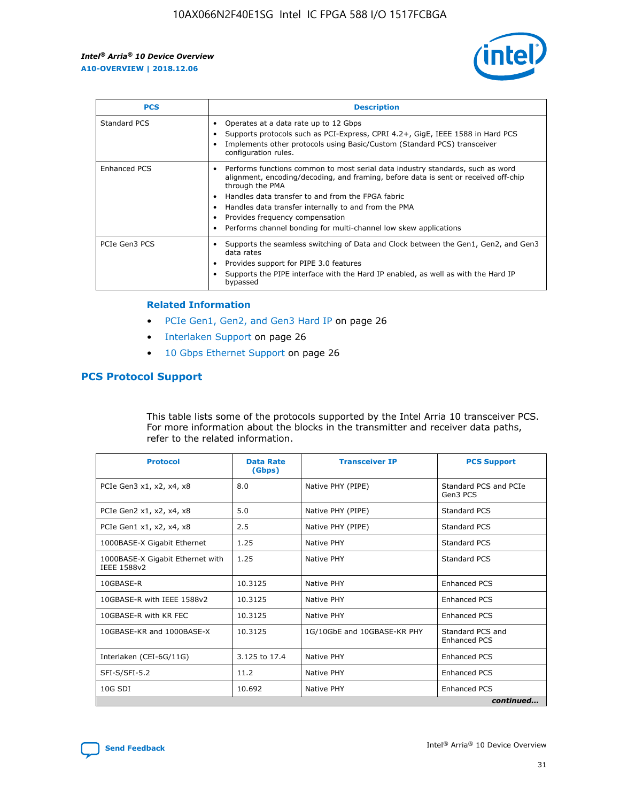

| <b>PCS</b>    | <b>Description</b>                                                                                                                                                                                                                                                                                                                                                                                             |
|---------------|----------------------------------------------------------------------------------------------------------------------------------------------------------------------------------------------------------------------------------------------------------------------------------------------------------------------------------------------------------------------------------------------------------------|
| Standard PCS  | Operates at a data rate up to 12 Gbps<br>Supports protocols such as PCI-Express, CPRI 4.2+, GigE, IEEE 1588 in Hard PCS<br>Implements other protocols using Basic/Custom (Standard PCS) transceiver<br>configuration rules.                                                                                                                                                                                    |
| Enhanced PCS  | Performs functions common to most serial data industry standards, such as word<br>alignment, encoding/decoding, and framing, before data is sent or received off-chip<br>through the PMA<br>• Handles data transfer to and from the FPGA fabric<br>Handles data transfer internally to and from the PMA<br>Provides frequency compensation<br>Performs channel bonding for multi-channel low skew applications |
| PCIe Gen3 PCS | Supports the seamless switching of Data and Clock between the Gen1, Gen2, and Gen3<br>data rates<br>Provides support for PIPE 3.0 features<br>Supports the PIPE interface with the Hard IP enabled, as well as with the Hard IP<br>bypassed                                                                                                                                                                    |

#### **Related Information**

- PCIe Gen1, Gen2, and Gen3 Hard IP on page 26
- Interlaken Support on page 26
- 10 Gbps Ethernet Support on page 26

# **PCS Protocol Support**

This table lists some of the protocols supported by the Intel Arria 10 transceiver PCS. For more information about the blocks in the transmitter and receiver data paths, refer to the related information.

| <b>Protocol</b>                                 | <b>Data Rate</b><br>(Gbps) | <b>Transceiver IP</b>       | <b>PCS Support</b>                      |
|-------------------------------------------------|----------------------------|-----------------------------|-----------------------------------------|
| PCIe Gen3 x1, x2, x4, x8                        | 8.0                        | Native PHY (PIPE)           | Standard PCS and PCIe<br>Gen3 PCS       |
| PCIe Gen2 x1, x2, x4, x8                        | 5.0                        | Native PHY (PIPE)           | <b>Standard PCS</b>                     |
| PCIe Gen1 x1, x2, x4, x8                        | 2.5                        | Native PHY (PIPE)           | Standard PCS                            |
| 1000BASE-X Gigabit Ethernet                     | 1.25                       | Native PHY                  | <b>Standard PCS</b>                     |
| 1000BASE-X Gigabit Ethernet with<br>IEEE 1588v2 | 1.25                       | Native PHY                  | Standard PCS                            |
| 10GBASE-R                                       | 10.3125                    | Native PHY                  | <b>Enhanced PCS</b>                     |
| 10GBASE-R with IEEE 1588v2                      | 10.3125                    | Native PHY                  | <b>Enhanced PCS</b>                     |
| 10GBASE-R with KR FEC                           | 10.3125                    | Native PHY                  | <b>Enhanced PCS</b>                     |
| 10GBASE-KR and 1000BASE-X                       | 10.3125                    | 1G/10GbE and 10GBASE-KR PHY | Standard PCS and<br><b>Enhanced PCS</b> |
| Interlaken (CEI-6G/11G)                         | 3.125 to 17.4              | Native PHY                  | <b>Enhanced PCS</b>                     |
| SFI-S/SFI-5.2                                   | 11.2                       | Native PHY                  | <b>Enhanced PCS</b>                     |
| $10G$ SDI                                       | 10.692                     | Native PHY                  | <b>Enhanced PCS</b>                     |
|                                                 |                            |                             | continued                               |

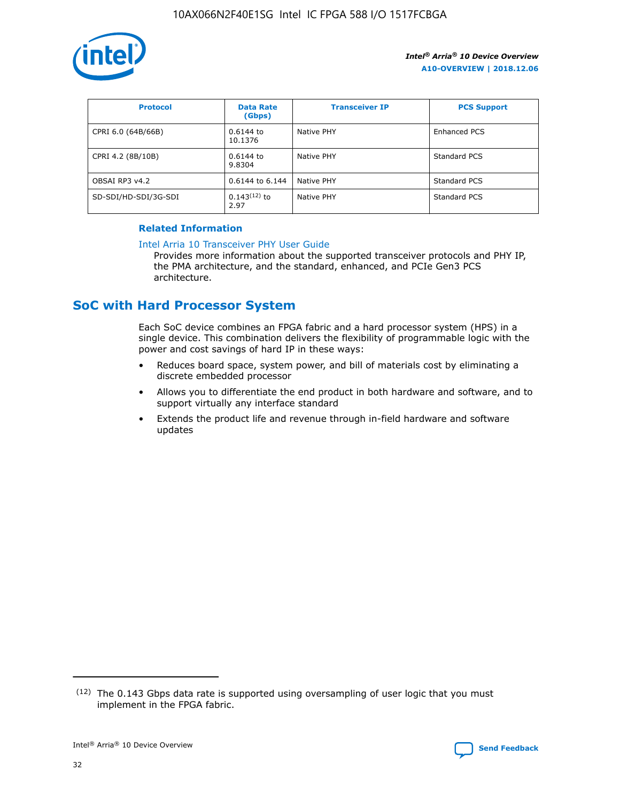

| <b>Protocol</b>      | <b>Data Rate</b><br>(Gbps) | <b>Transceiver IP</b> | <b>PCS Support</b> |
|----------------------|----------------------------|-----------------------|--------------------|
| CPRI 6.0 (64B/66B)   | 0.6144 to<br>10.1376       | Native PHY            | Enhanced PCS       |
| CPRI 4.2 (8B/10B)    | 0.6144 to<br>9.8304        | Native PHY            | Standard PCS       |
| OBSAI RP3 v4.2       | 0.6144 to 6.144            | Native PHY            | Standard PCS       |
| SD-SDI/HD-SDI/3G-SDI | $0.143(12)$ to<br>2.97     | Native PHY            | Standard PCS       |

## **Related Information**

#### [Intel Arria 10 Transceiver PHY User Guide](https://www.intel.com/content/www/us/en/programmable/documentation/nik1398707230472.html#nik1398707091164)

Provides more information about the supported transceiver protocols and PHY IP, the PMA architecture, and the standard, enhanced, and PCIe Gen3 PCS architecture.

# **SoC with Hard Processor System**

Each SoC device combines an FPGA fabric and a hard processor system (HPS) in a single device. This combination delivers the flexibility of programmable logic with the power and cost savings of hard IP in these ways:

- Reduces board space, system power, and bill of materials cost by eliminating a discrete embedded processor
- Allows you to differentiate the end product in both hardware and software, and to support virtually any interface standard
- Extends the product life and revenue through in-field hardware and software updates

 $(12)$  The 0.143 Gbps data rate is supported using oversampling of user logic that you must implement in the FPGA fabric.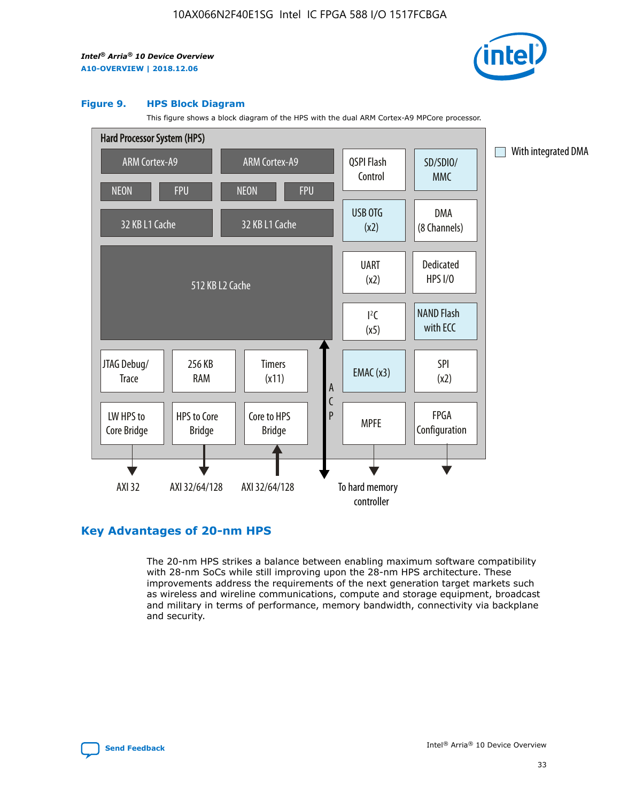

#### **Figure 9. HPS Block Diagram**

This figure shows a block diagram of the HPS with the dual ARM Cortex-A9 MPCore processor.



# **Key Advantages of 20-nm HPS**

The 20-nm HPS strikes a balance between enabling maximum software compatibility with 28-nm SoCs while still improving upon the 28-nm HPS architecture. These improvements address the requirements of the next generation target markets such as wireless and wireline communications, compute and storage equipment, broadcast and military in terms of performance, memory bandwidth, connectivity via backplane and security.

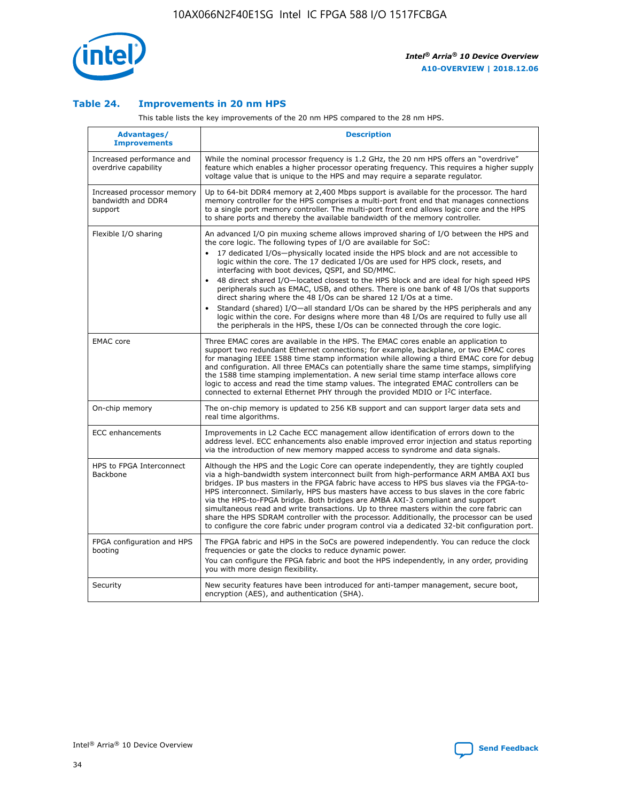

## **Table 24. Improvements in 20 nm HPS**

This table lists the key improvements of the 20 nm HPS compared to the 28 nm HPS.

| Advantages/<br><b>Improvements</b>                          | <b>Description</b>                                                                                                                                                                                                                                                                                                                                                                                                                                                                                                                                                                                                                                                                                                                                                                                                                                                                                                                   |
|-------------------------------------------------------------|--------------------------------------------------------------------------------------------------------------------------------------------------------------------------------------------------------------------------------------------------------------------------------------------------------------------------------------------------------------------------------------------------------------------------------------------------------------------------------------------------------------------------------------------------------------------------------------------------------------------------------------------------------------------------------------------------------------------------------------------------------------------------------------------------------------------------------------------------------------------------------------------------------------------------------------|
| Increased performance and<br>overdrive capability           | While the nominal processor frequency is 1.2 GHz, the 20 nm HPS offers an "overdrive"<br>feature which enables a higher processor operating frequency. This requires a higher supply<br>voltage value that is unique to the HPS and may require a separate requlator.                                                                                                                                                                                                                                                                                                                                                                                                                                                                                                                                                                                                                                                                |
| Increased processor memory<br>bandwidth and DDR4<br>support | Up to 64-bit DDR4 memory at 2,400 Mbps support is available for the processor. The hard<br>memory controller for the HPS comprises a multi-port front end that manages connections<br>to a single port memory controller. The multi-port front end allows logic core and the HPS<br>to share ports and thereby the available bandwidth of the memory controller.                                                                                                                                                                                                                                                                                                                                                                                                                                                                                                                                                                     |
| Flexible I/O sharing                                        | An advanced I/O pin muxing scheme allows improved sharing of I/O between the HPS and<br>the core logic. The following types of I/O are available for SoC:<br>17 dedicated I/Os-physically located inside the HPS block and are not accessible to<br>logic within the core. The 17 dedicated I/Os are used for HPS clock, resets, and<br>interfacing with boot devices, QSPI, and SD/MMC.<br>48 direct shared I/O-located closest to the HPS block and are ideal for high speed HPS<br>peripherals such as EMAC, USB, and others. There is one bank of 48 I/Os that supports<br>direct sharing where the 48 I/Os can be shared 12 I/Os at a time.<br>Standard (shared) I/O-all standard I/Os can be shared by the HPS peripherals and any<br>$\bullet$<br>logic within the core. For designs where more than 48 I/Os are required to fully use all<br>the peripherals in the HPS, these I/Os can be connected through the core logic. |
| <b>EMAC</b> core                                            | Three EMAC cores are available in the HPS. The EMAC cores enable an application to<br>support two redundant Ethernet connections; for example, backplane, or two EMAC cores<br>for managing IEEE 1588 time stamp information while allowing a third EMAC core for debug<br>and configuration. All three EMACs can potentially share the same time stamps, simplifying<br>the 1588 time stamping implementation. A new serial time stamp interface allows core<br>logic to access and read the time stamp values. The integrated EMAC controllers can be<br>connected to external Ethernet PHY through the provided MDIO or I <sup>2</sup> C interface.                                                                                                                                                                                                                                                                               |
| On-chip memory                                              | The on-chip memory is updated to 256 KB support and can support larger data sets and<br>real time algorithms.                                                                                                                                                                                                                                                                                                                                                                                                                                                                                                                                                                                                                                                                                                                                                                                                                        |
| <b>ECC</b> enhancements                                     | Improvements in L2 Cache ECC management allow identification of errors down to the<br>address level. ECC enhancements also enable improved error injection and status reporting<br>via the introduction of new memory mapped access to syndrome and data signals.                                                                                                                                                                                                                                                                                                                                                                                                                                                                                                                                                                                                                                                                    |
| HPS to FPGA Interconnect<br><b>Backbone</b>                 | Although the HPS and the Logic Core can operate independently, they are tightly coupled<br>via a high-bandwidth system interconnect built from high-performance ARM AMBA AXI bus<br>bridges. IP bus masters in the FPGA fabric have access to HPS bus slaves via the FPGA-to-<br>HPS interconnect. Similarly, HPS bus masters have access to bus slaves in the core fabric<br>via the HPS-to-FPGA bridge. Both bridges are AMBA AXI-3 compliant and support<br>simultaneous read and write transactions. Up to three masters within the core fabric can<br>share the HPS SDRAM controller with the processor. Additionally, the processor can be used<br>to configure the core fabric under program control via a dedicated 32-bit configuration port.                                                                                                                                                                               |
| FPGA configuration and HPS<br>booting                       | The FPGA fabric and HPS in the SoCs are powered independently. You can reduce the clock<br>frequencies or gate the clocks to reduce dynamic power.<br>You can configure the FPGA fabric and boot the HPS independently, in any order, providing<br>you with more design flexibility.                                                                                                                                                                                                                                                                                                                                                                                                                                                                                                                                                                                                                                                 |
| Security                                                    | New security features have been introduced for anti-tamper management, secure boot,<br>encryption (AES), and authentication (SHA).                                                                                                                                                                                                                                                                                                                                                                                                                                                                                                                                                                                                                                                                                                                                                                                                   |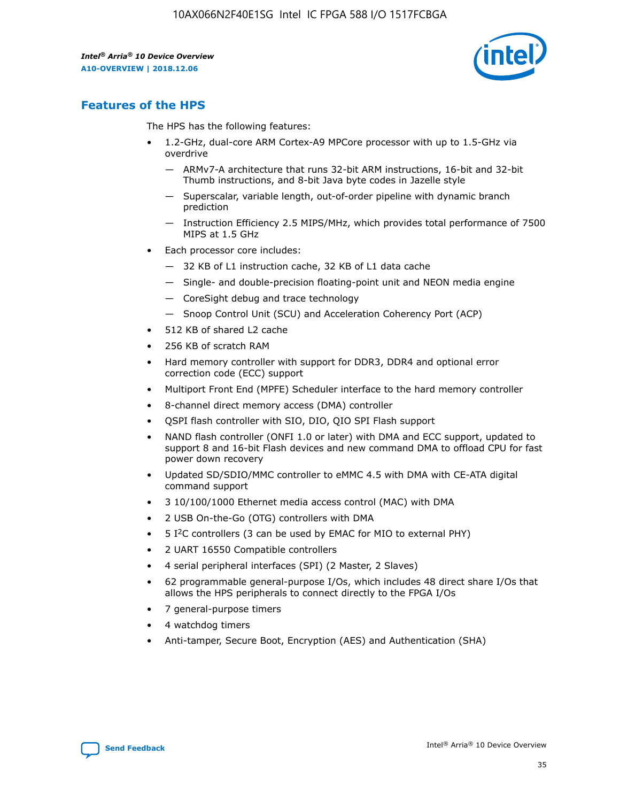

# **Features of the HPS**

The HPS has the following features:

- 1.2-GHz, dual-core ARM Cortex-A9 MPCore processor with up to 1.5-GHz via overdrive
	- ARMv7-A architecture that runs 32-bit ARM instructions, 16-bit and 32-bit Thumb instructions, and 8-bit Java byte codes in Jazelle style
	- Superscalar, variable length, out-of-order pipeline with dynamic branch prediction
	- Instruction Efficiency 2.5 MIPS/MHz, which provides total performance of 7500 MIPS at 1.5 GHz
- Each processor core includes:
	- 32 KB of L1 instruction cache, 32 KB of L1 data cache
	- Single- and double-precision floating-point unit and NEON media engine
	- CoreSight debug and trace technology
	- Snoop Control Unit (SCU) and Acceleration Coherency Port (ACP)
- 512 KB of shared L2 cache
- 256 KB of scratch RAM
- Hard memory controller with support for DDR3, DDR4 and optional error correction code (ECC) support
- Multiport Front End (MPFE) Scheduler interface to the hard memory controller
- 8-channel direct memory access (DMA) controller
- QSPI flash controller with SIO, DIO, QIO SPI Flash support
- NAND flash controller (ONFI 1.0 or later) with DMA and ECC support, updated to support 8 and 16-bit Flash devices and new command DMA to offload CPU for fast power down recovery
- Updated SD/SDIO/MMC controller to eMMC 4.5 with DMA with CE-ATA digital command support
- 3 10/100/1000 Ethernet media access control (MAC) with DMA
- 2 USB On-the-Go (OTG) controllers with DMA
- $\bullet$  5 I<sup>2</sup>C controllers (3 can be used by EMAC for MIO to external PHY)
- 2 UART 16550 Compatible controllers
- 4 serial peripheral interfaces (SPI) (2 Master, 2 Slaves)
- 62 programmable general-purpose I/Os, which includes 48 direct share I/Os that allows the HPS peripherals to connect directly to the FPGA I/Os
- 7 general-purpose timers
- 4 watchdog timers
- Anti-tamper, Secure Boot, Encryption (AES) and Authentication (SHA)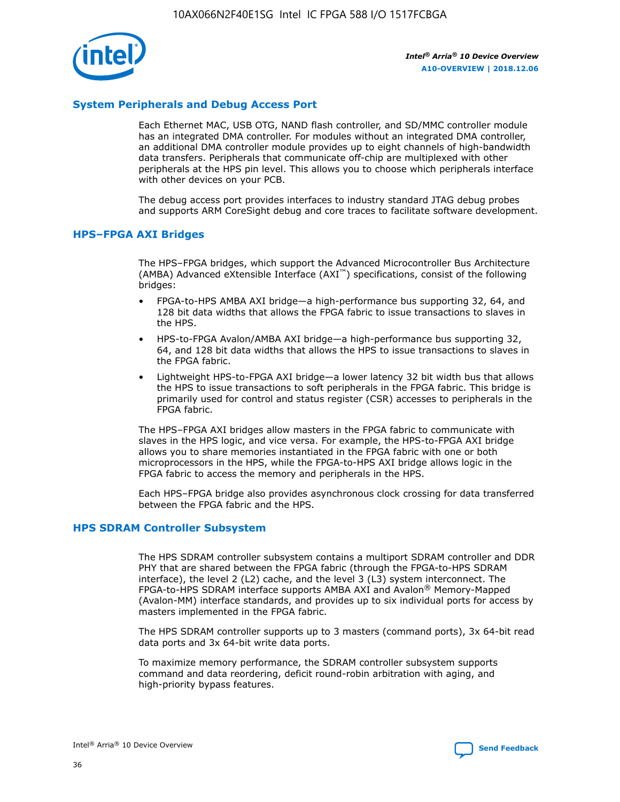

## **System Peripherals and Debug Access Port**

Each Ethernet MAC, USB OTG, NAND flash controller, and SD/MMC controller module has an integrated DMA controller. For modules without an integrated DMA controller, an additional DMA controller module provides up to eight channels of high-bandwidth data transfers. Peripherals that communicate off-chip are multiplexed with other peripherals at the HPS pin level. This allows you to choose which peripherals interface with other devices on your PCB.

The debug access port provides interfaces to industry standard JTAG debug probes and supports ARM CoreSight debug and core traces to facilitate software development.

## **HPS–FPGA AXI Bridges**

The HPS–FPGA bridges, which support the Advanced Microcontroller Bus Architecture (AMBA) Advanced eXtensible Interface (AXI™) specifications, consist of the following bridges:

- FPGA-to-HPS AMBA AXI bridge—a high-performance bus supporting 32, 64, and 128 bit data widths that allows the FPGA fabric to issue transactions to slaves in the HPS.
- HPS-to-FPGA Avalon/AMBA AXI bridge—a high-performance bus supporting 32, 64, and 128 bit data widths that allows the HPS to issue transactions to slaves in the FPGA fabric.
- Lightweight HPS-to-FPGA AXI bridge—a lower latency 32 bit width bus that allows the HPS to issue transactions to soft peripherals in the FPGA fabric. This bridge is primarily used for control and status register (CSR) accesses to peripherals in the FPGA fabric.

The HPS–FPGA AXI bridges allow masters in the FPGA fabric to communicate with slaves in the HPS logic, and vice versa. For example, the HPS-to-FPGA AXI bridge allows you to share memories instantiated in the FPGA fabric with one or both microprocessors in the HPS, while the FPGA-to-HPS AXI bridge allows logic in the FPGA fabric to access the memory and peripherals in the HPS.

Each HPS–FPGA bridge also provides asynchronous clock crossing for data transferred between the FPGA fabric and the HPS.

#### **HPS SDRAM Controller Subsystem**

The HPS SDRAM controller subsystem contains a multiport SDRAM controller and DDR PHY that are shared between the FPGA fabric (through the FPGA-to-HPS SDRAM interface), the level 2 (L2) cache, and the level 3 (L3) system interconnect. The FPGA-to-HPS SDRAM interface supports AMBA AXI and Avalon® Memory-Mapped (Avalon-MM) interface standards, and provides up to six individual ports for access by masters implemented in the FPGA fabric.

The HPS SDRAM controller supports up to 3 masters (command ports), 3x 64-bit read data ports and 3x 64-bit write data ports.

To maximize memory performance, the SDRAM controller subsystem supports command and data reordering, deficit round-robin arbitration with aging, and high-priority bypass features.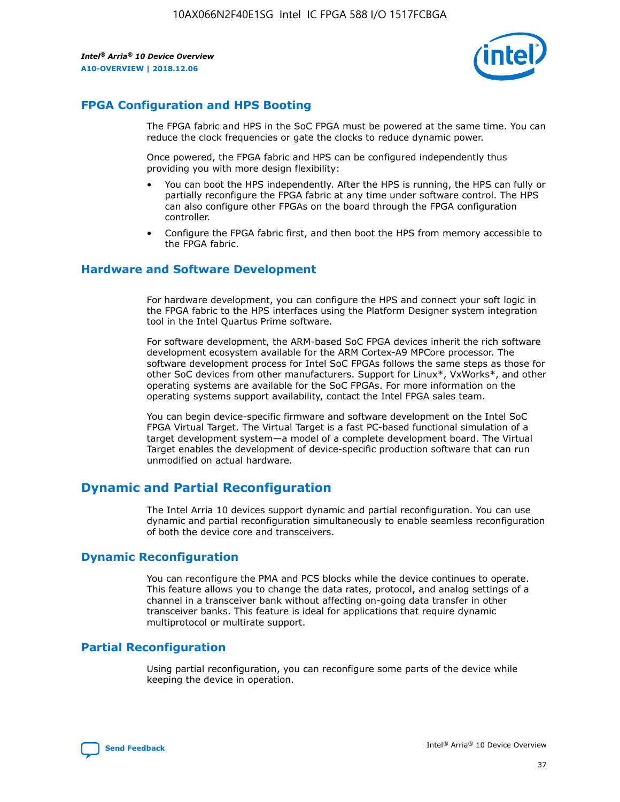

# **FPGA Configuration and HPS Booting**

The FPGA fabric and HPS in the SoC FPGA must be powered at the same time. You can reduce the clock frequencies or gate the clocks to reduce dynamic power.

Once powered, the FPGA fabric and HPS can be configured independently thus providing you with more design flexibility:

- You can boot the HPS independently. After the HPS is running, the HPS can fully or partially reconfigure the FPGA fabric at any time under software control. The HPS can also configure other FPGAs on the board through the FPGA configuration controller.
- Configure the FPGA fabric first, and then boot the HPS from memory accessible to the FPGA fabric.

## **Hardware and Software Development**

For hardware development, you can configure the HPS and connect your soft logic in the FPGA fabric to the HPS interfaces using the Platform Designer system integration tool in the Intel Quartus Prime software.

For software development, the ARM-based SoC FPGA devices inherit the rich software development ecosystem available for the ARM Cortex-A9 MPCore processor. The software development process for Intel SoC FPGAs follows the same steps as those for other SoC devices from other manufacturers. Support for Linux\*, VxWorks\*, and other operating systems are available for the SoC FPGAs. For more information on the operating systems support availability, contact the Intel FPGA sales team.

You can begin device-specific firmware and software development on the Intel SoC FPGA Virtual Target. The Virtual Target is a fast PC-based functional simulation of a target development system—a model of a complete development board. The Virtual Target enables the development of device-specific production software that can run unmodified on actual hardware.

# **Dynamic and Partial Reconfiguration**

The Intel Arria 10 devices support dynamic and partial reconfiguration. You can use dynamic and partial reconfiguration simultaneously to enable seamless reconfiguration of both the device core and transceivers.

# **Dynamic Reconfiguration**

You can reconfigure the PMA and PCS blocks while the device continues to operate. This feature allows you to change the data rates, protocol, and analog settings of a channel in a transceiver bank without affecting on-going data transfer in other transceiver banks. This feature is ideal for applications that require dynamic multiprotocol or multirate support.

# **Partial Reconfiguration**

Using partial reconfiguration, you can reconfigure some parts of the device while keeping the device in operation.

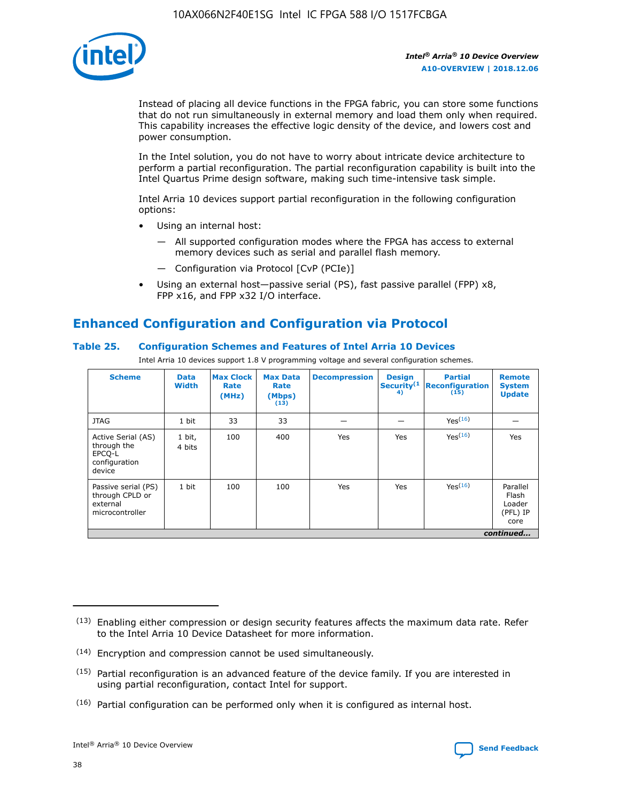

Instead of placing all device functions in the FPGA fabric, you can store some functions that do not run simultaneously in external memory and load them only when required. This capability increases the effective logic density of the device, and lowers cost and power consumption.

In the Intel solution, you do not have to worry about intricate device architecture to perform a partial reconfiguration. The partial reconfiguration capability is built into the Intel Quartus Prime design software, making such time-intensive task simple.

Intel Arria 10 devices support partial reconfiguration in the following configuration options:

- Using an internal host:
	- All supported configuration modes where the FPGA has access to external memory devices such as serial and parallel flash memory.
	- Configuration via Protocol [CvP (PCIe)]
- Using an external host—passive serial (PS), fast passive parallel (FPP) x8, FPP x16, and FPP x32 I/O interface.

# **Enhanced Configuration and Configuration via Protocol**

## **Table 25. Configuration Schemes and Features of Intel Arria 10 Devices**

Intel Arria 10 devices support 1.8 V programming voltage and several configuration schemes.

| <b>Scheme</b>                                                          | <b>Data</b><br><b>Width</b> | <b>Max Clock</b><br>Rate<br>(MHz) | <b>Max Data</b><br>Rate<br>(Mbps)<br>(13) | <b>Decompression</b> | <b>Design</b><br>Security <sup>(1</sup><br>4) | <b>Partial</b><br>Reconfiguration<br>(15) | <b>Remote</b><br><b>System</b><br><b>Update</b> |
|------------------------------------------------------------------------|-----------------------------|-----------------------------------|-------------------------------------------|----------------------|-----------------------------------------------|-------------------------------------------|-------------------------------------------------|
| <b>JTAG</b>                                                            | 1 bit                       | 33                                | 33                                        |                      |                                               | Yes <sup>(16)</sup>                       |                                                 |
| Active Serial (AS)<br>through the<br>EPCO-L<br>configuration<br>device | 1 bit,<br>4 bits            | 100                               | 400                                       | Yes                  | Yes                                           | $Y_{PS}(16)$                              | Yes                                             |
| Passive serial (PS)<br>through CPLD or<br>external<br>microcontroller  | 1 bit                       | 100                               | 100                                       | Yes                  | Yes                                           | Yes(16)                                   | Parallel<br>Flash<br>Loader<br>(PFL) IP<br>core |
|                                                                        |                             |                                   |                                           |                      |                                               |                                           | continued                                       |

<sup>(13)</sup> Enabling either compression or design security features affects the maximum data rate. Refer to the Intel Arria 10 Device Datasheet for more information.

<sup>(14)</sup> Encryption and compression cannot be used simultaneously.

 $(15)$  Partial reconfiguration is an advanced feature of the device family. If you are interested in using partial reconfiguration, contact Intel for support.

 $(16)$  Partial configuration can be performed only when it is configured as internal host.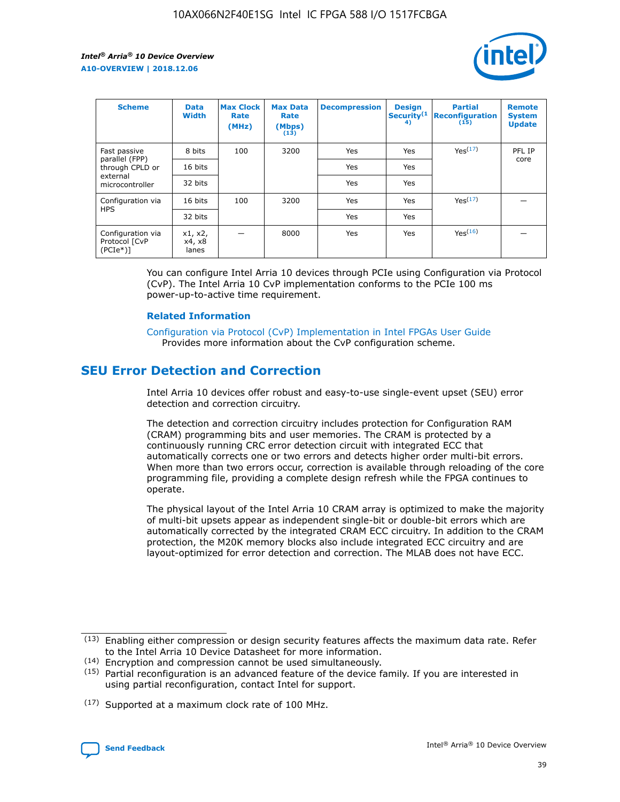

| <b>Scheme</b>                                    | <b>Data</b><br><b>Width</b> | <b>Max Clock</b><br>Rate<br>(MHz) | <b>Max Data</b><br>Rate<br>(Mbps)<br>(13) | <b>Decompression</b> | <b>Design</b><br>Security <sup>(1</sup><br>4) | <b>Partial</b><br><b>Reconfiguration</b><br>(15) | <b>Remote</b><br><b>System</b><br><b>Update</b> |
|--------------------------------------------------|-----------------------------|-----------------------------------|-------------------------------------------|----------------------|-----------------------------------------------|--------------------------------------------------|-------------------------------------------------|
| Fast passive                                     | 8 bits                      | 100                               | 3200                                      | Yes                  | Yes                                           | Yes(17)                                          | PFL IP                                          |
| parallel (FPP)<br>through CPLD or                | 16 bits                     |                                   |                                           | Yes                  | Yes                                           |                                                  | core                                            |
| external<br>microcontroller                      | 32 bits                     |                                   |                                           | Yes                  | Yes                                           |                                                  |                                                 |
| Configuration via                                | 16 bits                     | 100                               | 3200                                      | Yes                  | Yes                                           | Yes <sup>(17)</sup>                              |                                                 |
| <b>HPS</b>                                       | 32 bits                     |                                   |                                           | Yes                  | Yes                                           |                                                  |                                                 |
| Configuration via<br>Protocol [CvP<br>$(PCIe^*)$ | x1, x2,<br>x4, x8<br>lanes  |                                   | 8000                                      | Yes                  | Yes                                           | Yes <sup>(16)</sup>                              |                                                 |

You can configure Intel Arria 10 devices through PCIe using Configuration via Protocol (CvP). The Intel Arria 10 CvP implementation conforms to the PCIe 100 ms power-up-to-active time requirement.

#### **Related Information**

[Configuration via Protocol \(CvP\) Implementation in Intel FPGAs User Guide](https://www.intel.com/content/www/us/en/programmable/documentation/dsu1441819344145.html#dsu1442269728522) Provides more information about the CvP configuration scheme.

# **SEU Error Detection and Correction**

Intel Arria 10 devices offer robust and easy-to-use single-event upset (SEU) error detection and correction circuitry.

The detection and correction circuitry includes protection for Configuration RAM (CRAM) programming bits and user memories. The CRAM is protected by a continuously running CRC error detection circuit with integrated ECC that automatically corrects one or two errors and detects higher order multi-bit errors. When more than two errors occur, correction is available through reloading of the core programming file, providing a complete design refresh while the FPGA continues to operate.

The physical layout of the Intel Arria 10 CRAM array is optimized to make the majority of multi-bit upsets appear as independent single-bit or double-bit errors which are automatically corrected by the integrated CRAM ECC circuitry. In addition to the CRAM protection, the M20K memory blocks also include integrated ECC circuitry and are layout-optimized for error detection and correction. The MLAB does not have ECC.

<sup>(17)</sup> Supported at a maximum clock rate of 100 MHz.



 $(13)$  Enabling either compression or design security features affects the maximum data rate. Refer to the Intel Arria 10 Device Datasheet for more information.

<sup>(14)</sup> Encryption and compression cannot be used simultaneously.

 $(15)$  Partial reconfiguration is an advanced feature of the device family. If you are interested in using partial reconfiguration, contact Intel for support.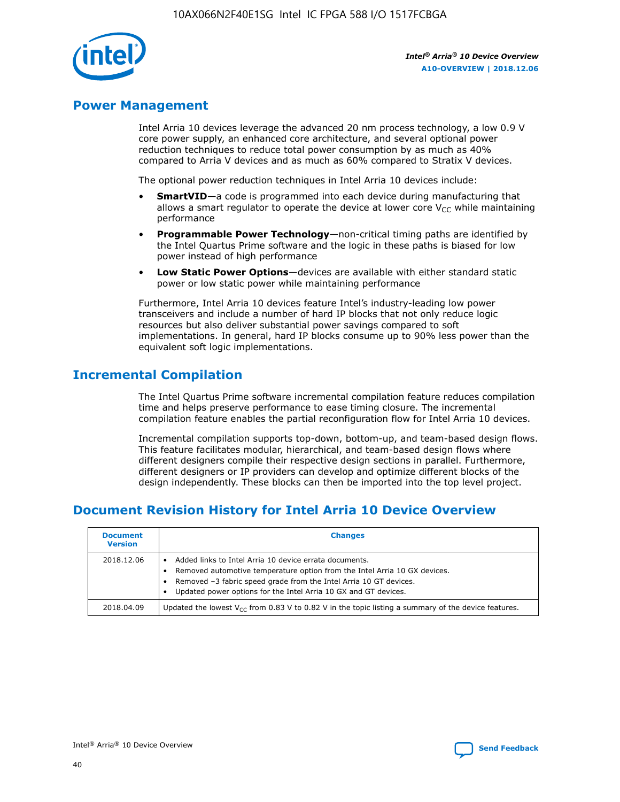

# **Power Management**

Intel Arria 10 devices leverage the advanced 20 nm process technology, a low 0.9 V core power supply, an enhanced core architecture, and several optional power reduction techniques to reduce total power consumption by as much as 40% compared to Arria V devices and as much as 60% compared to Stratix V devices.

The optional power reduction techniques in Intel Arria 10 devices include:

- **SmartVID**—a code is programmed into each device during manufacturing that allows a smart regulator to operate the device at lower core  $V_{CC}$  while maintaining performance
- **Programmable Power Technology**—non-critical timing paths are identified by the Intel Quartus Prime software and the logic in these paths is biased for low power instead of high performance
- **Low Static Power Options**—devices are available with either standard static power or low static power while maintaining performance

Furthermore, Intel Arria 10 devices feature Intel's industry-leading low power transceivers and include a number of hard IP blocks that not only reduce logic resources but also deliver substantial power savings compared to soft implementations. In general, hard IP blocks consume up to 90% less power than the equivalent soft logic implementations.

# **Incremental Compilation**

The Intel Quartus Prime software incremental compilation feature reduces compilation time and helps preserve performance to ease timing closure. The incremental compilation feature enables the partial reconfiguration flow for Intel Arria 10 devices.

Incremental compilation supports top-down, bottom-up, and team-based design flows. This feature facilitates modular, hierarchical, and team-based design flows where different designers compile their respective design sections in parallel. Furthermore, different designers or IP providers can develop and optimize different blocks of the design independently. These blocks can then be imported into the top level project.

# **Document Revision History for Intel Arria 10 Device Overview**

| <b>Document</b><br><b>Version</b> | <b>Changes</b>                                                                                                                                                                                                                                                              |
|-----------------------------------|-----------------------------------------------------------------------------------------------------------------------------------------------------------------------------------------------------------------------------------------------------------------------------|
| 2018.12.06                        | Added links to Intel Arria 10 device errata documents.<br>Removed automotive temperature option from the Intel Arria 10 GX devices.<br>Removed -3 fabric speed grade from the Intel Arria 10 GT devices.<br>Updated power options for the Intel Arria 10 GX and GT devices. |
| 2018.04.09                        | Updated the lowest $V_{CC}$ from 0.83 V to 0.82 V in the topic listing a summary of the device features.                                                                                                                                                                    |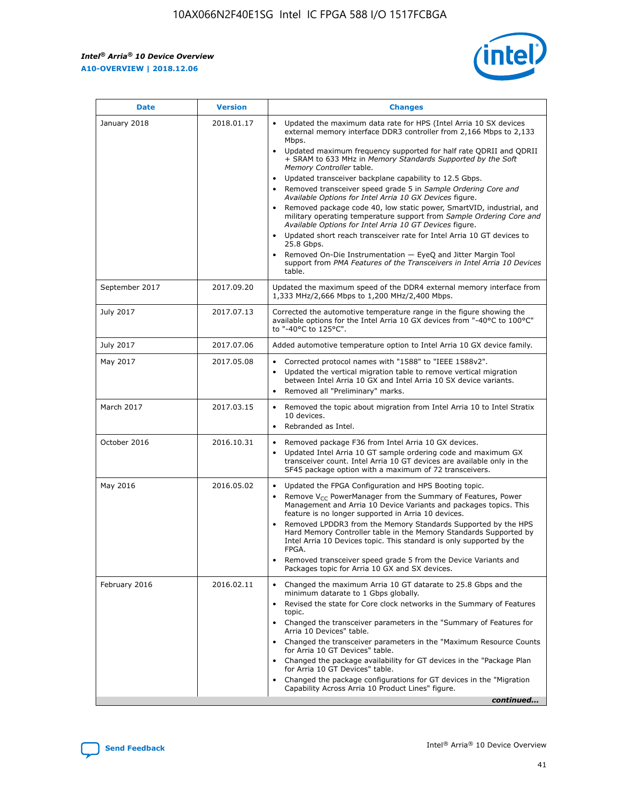

| <b>Date</b>    | <b>Version</b> | <b>Changes</b>                                                                                                                                                                                                                                                                                                                                                                                                                                                                                                                                                                                                                                                                                                                                                                                                                                                                                                                                               |
|----------------|----------------|--------------------------------------------------------------------------------------------------------------------------------------------------------------------------------------------------------------------------------------------------------------------------------------------------------------------------------------------------------------------------------------------------------------------------------------------------------------------------------------------------------------------------------------------------------------------------------------------------------------------------------------------------------------------------------------------------------------------------------------------------------------------------------------------------------------------------------------------------------------------------------------------------------------------------------------------------------------|
| January 2018   | 2018.01.17     | Updated the maximum data rate for HPS (Intel Arria 10 SX devices<br>external memory interface DDR3 controller from 2,166 Mbps to 2,133<br>Mbps.<br>Updated maximum frequency supported for half rate QDRII and QDRII<br>+ SRAM to 633 MHz in Memory Standards Supported by the Soft<br>Memory Controller table.<br>Updated transceiver backplane capability to 12.5 Gbps.<br>Removed transceiver speed grade 5 in Sample Ordering Core and<br>Available Options for Intel Arria 10 GX Devices figure.<br>Removed package code 40, low static power, SmartVID, industrial, and<br>military operating temperature support from Sample Ordering Core and<br>Available Options for Intel Arria 10 GT Devices figure.<br>Updated short reach transceiver rate for Intel Arria 10 GT devices to<br>25.8 Gbps.<br>Removed On-Die Instrumentation - EyeQ and Jitter Margin Tool<br>support from PMA Features of the Transceivers in Intel Arria 10 Devices<br>table. |
| September 2017 | 2017.09.20     | Updated the maximum speed of the DDR4 external memory interface from<br>1,333 MHz/2,666 Mbps to 1,200 MHz/2,400 Mbps.                                                                                                                                                                                                                                                                                                                                                                                                                                                                                                                                                                                                                                                                                                                                                                                                                                        |
| July 2017      | 2017.07.13     | Corrected the automotive temperature range in the figure showing the<br>available options for the Intel Arria 10 GX devices from "-40°C to 100°C"<br>to "-40°C to 125°C".                                                                                                                                                                                                                                                                                                                                                                                                                                                                                                                                                                                                                                                                                                                                                                                    |
| July 2017      | 2017.07.06     | Added automotive temperature option to Intel Arria 10 GX device family.                                                                                                                                                                                                                                                                                                                                                                                                                                                                                                                                                                                                                                                                                                                                                                                                                                                                                      |
| May 2017       | 2017.05.08     | Corrected protocol names with "1588" to "IEEE 1588v2".<br>$\bullet$<br>Updated the vertical migration table to remove vertical migration<br>$\bullet$<br>between Intel Arria 10 GX and Intel Arria 10 SX device variants.<br>Removed all "Preliminary" marks.<br>$\bullet$                                                                                                                                                                                                                                                                                                                                                                                                                                                                                                                                                                                                                                                                                   |
| March 2017     | 2017.03.15     | Removed the topic about migration from Intel Arria 10 to Intel Stratix<br>$\bullet$<br>10 devices.<br>Rebranded as Intel.<br>$\bullet$                                                                                                                                                                                                                                                                                                                                                                                                                                                                                                                                                                                                                                                                                                                                                                                                                       |
| October 2016   | 2016.10.31     | Removed package F36 from Intel Arria 10 GX devices.<br>Updated Intel Arria 10 GT sample ordering code and maximum GX<br>$\bullet$<br>transceiver count. Intel Arria 10 GT devices are available only in the<br>SF45 package option with a maximum of 72 transceivers.                                                                                                                                                                                                                                                                                                                                                                                                                                                                                                                                                                                                                                                                                        |
| May 2016       | 2016.05.02     | Updated the FPGA Configuration and HPS Booting topic.<br>$\bullet$<br>Remove V <sub>CC</sub> PowerManager from the Summary of Features, Power<br>Management and Arria 10 Device Variants and packages topics. This<br>feature is no longer supported in Arria 10 devices.<br>Removed LPDDR3 from the Memory Standards Supported by the HPS<br>Hard Memory Controller table in the Memory Standards Supported by<br>Intel Arria 10 Devices topic. This standard is only supported by the<br><b>FPGA</b><br>Removed transceiver speed grade 5 from the Device Variants and<br>Packages topic for Arria 10 GX and SX devices.                                                                                                                                                                                                                                                                                                                                   |
| February 2016  | 2016.02.11     | Changed the maximum Arria 10 GT datarate to 25.8 Gbps and the<br>$\bullet$<br>minimum datarate to 1 Gbps globally.<br>Revised the state for Core clock networks in the Summary of Features<br>$\bullet$<br>topic.<br>Changed the transceiver parameters in the "Summary of Features for<br>$\bullet$<br>Arria 10 Devices" table.<br>Changed the transceiver parameters in the "Maximum Resource Counts<br>for Arria 10 GT Devices" table.<br>Changed the package availability for GT devices in the "Package Plan<br>for Arria 10 GT Devices" table.<br>Changed the package configurations for GT devices in the "Migration"<br>Capability Across Arria 10 Product Lines" figure.<br>continued                                                                                                                                                                                                                                                               |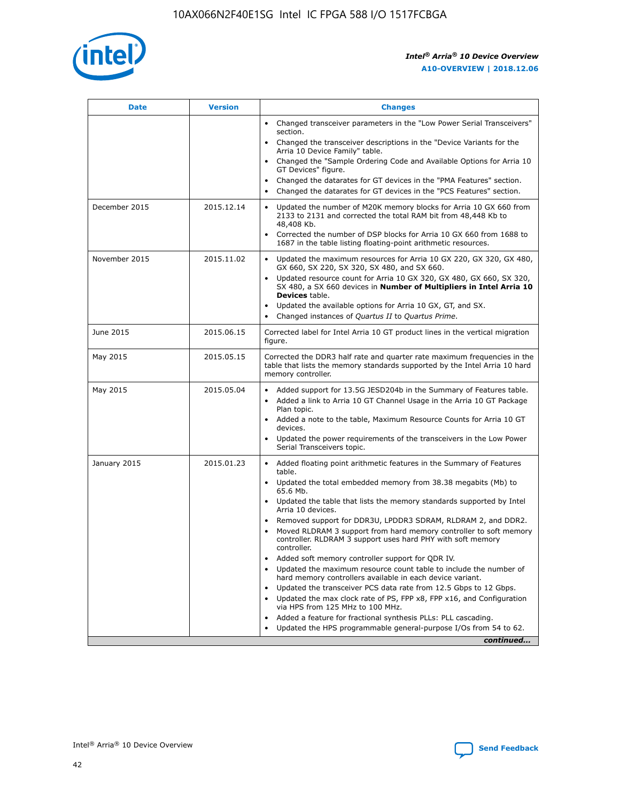

| <b>Date</b>   | <b>Version</b> | <b>Changes</b>                                                                                                                                                               |
|---------------|----------------|------------------------------------------------------------------------------------------------------------------------------------------------------------------------------|
|               |                | • Changed transceiver parameters in the "Low Power Serial Transceivers"<br>section.                                                                                          |
|               |                | • Changed the transceiver descriptions in the "Device Variants for the<br>Arria 10 Device Family" table.                                                                     |
|               |                | Changed the "Sample Ordering Code and Available Options for Arria 10<br>$\bullet$<br>GT Devices" figure.                                                                     |
|               |                | Changed the datarates for GT devices in the "PMA Features" section.                                                                                                          |
|               |                | Changed the datarates for GT devices in the "PCS Features" section.<br>$\bullet$                                                                                             |
| December 2015 | 2015.12.14     | Updated the number of M20K memory blocks for Arria 10 GX 660 from<br>2133 to 2131 and corrected the total RAM bit from 48,448 Kb to<br>48,408 Kb.                            |
|               |                | Corrected the number of DSP blocks for Arria 10 GX 660 from 1688 to<br>1687 in the table listing floating-point arithmetic resources.                                        |
| November 2015 | 2015.11.02     | Updated the maximum resources for Arria 10 GX 220, GX 320, GX 480,<br>$\bullet$<br>GX 660, SX 220, SX 320, SX 480, and SX 660.                                               |
|               |                | • Updated resource count for Arria 10 GX 320, GX 480, GX 660, SX 320,<br>SX 480, a SX 660 devices in Number of Multipliers in Intel Arria 10<br><b>Devices</b> table.        |
|               |                | Updated the available options for Arria 10 GX, GT, and SX.                                                                                                                   |
|               |                | Changed instances of Quartus II to Quartus Prime.<br>$\bullet$                                                                                                               |
| June 2015     | 2015.06.15     | Corrected label for Intel Arria 10 GT product lines in the vertical migration<br>figure.                                                                                     |
| May 2015      | 2015.05.15     | Corrected the DDR3 half rate and quarter rate maximum frequencies in the<br>table that lists the memory standards supported by the Intel Arria 10 hard<br>memory controller. |
| May 2015      | 2015.05.04     | • Added support for 13.5G JESD204b in the Summary of Features table.                                                                                                         |
|               |                | • Added a link to Arria 10 GT Channel Usage in the Arria 10 GT Package<br>Plan topic.                                                                                        |
|               |                | • Added a note to the table, Maximum Resource Counts for Arria 10 GT<br>devices.                                                                                             |
|               |                | • Updated the power requirements of the transceivers in the Low Power<br>Serial Transceivers topic.                                                                          |
| January 2015  | 2015.01.23     | • Added floating point arithmetic features in the Summary of Features<br>table.                                                                                              |
|               |                | • Updated the total embedded memory from 38.38 megabits (Mb) to<br>65.6 Mb.                                                                                                  |
|               |                | • Updated the table that lists the memory standards supported by Intel<br>Arria 10 devices.                                                                                  |
|               |                | Removed support for DDR3U, LPDDR3 SDRAM, RLDRAM 2, and DDR2.                                                                                                                 |
|               |                | Moved RLDRAM 3 support from hard memory controller to soft memory<br>controller. RLDRAM 3 support uses hard PHY with soft memory<br>controller.                              |
|               |                | Added soft memory controller support for QDR IV.<br>٠                                                                                                                        |
|               |                | Updated the maximum resource count table to include the number of<br>hard memory controllers available in each device variant.                                               |
|               |                | Updated the transceiver PCS data rate from 12.5 Gbps to 12 Gbps.<br>$\bullet$                                                                                                |
|               |                | Updated the max clock rate of PS, FPP x8, FPP x16, and Configuration<br>via HPS from 125 MHz to 100 MHz.                                                                     |
|               |                | Added a feature for fractional synthesis PLLs: PLL cascading.                                                                                                                |
|               |                | Updated the HPS programmable general-purpose I/Os from 54 to 62.<br>$\bullet$                                                                                                |
|               |                | continued                                                                                                                                                                    |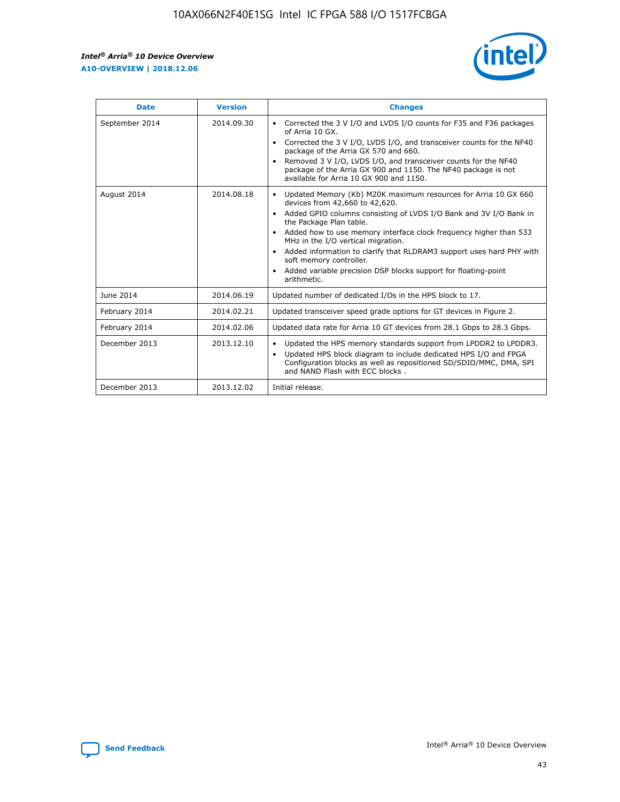r



| <b>Date</b>    | <b>Version</b> | <b>Changes</b>                                                                                                                                                                                                                                                                                                                                                                                                                                                                                                                                      |
|----------------|----------------|-----------------------------------------------------------------------------------------------------------------------------------------------------------------------------------------------------------------------------------------------------------------------------------------------------------------------------------------------------------------------------------------------------------------------------------------------------------------------------------------------------------------------------------------------------|
| September 2014 | 2014.09.30     | Corrected the 3 V I/O and LVDS I/O counts for F35 and F36 packages<br>$\bullet$<br>of Arria 10 GX.<br>Corrected the 3 V I/O, LVDS I/O, and transceiver counts for the NF40<br>$\bullet$<br>package of the Arria GX 570 and 660.<br>Removed 3 V I/O, LVDS I/O, and transceiver counts for the NF40<br>package of the Arria GX 900 and 1150. The NF40 package is not<br>available for Arria 10 GX 900 and 1150.                                                                                                                                       |
| August 2014    | 2014.08.18     | Updated Memory (Kb) M20K maximum resources for Arria 10 GX 660<br>devices from 42,660 to 42,620.<br>Added GPIO columns consisting of LVDS I/O Bank and 3V I/O Bank in<br>$\bullet$<br>the Package Plan table.<br>Added how to use memory interface clock frequency higher than 533<br>$\bullet$<br>MHz in the I/O vertical migration.<br>Added information to clarify that RLDRAM3 support uses hard PHY with<br>$\bullet$<br>soft memory controller.<br>Added variable precision DSP blocks support for floating-point<br>$\bullet$<br>arithmetic. |
| June 2014      | 2014.06.19     | Updated number of dedicated I/Os in the HPS block to 17.                                                                                                                                                                                                                                                                                                                                                                                                                                                                                            |
| February 2014  | 2014.02.21     | Updated transceiver speed grade options for GT devices in Figure 2.                                                                                                                                                                                                                                                                                                                                                                                                                                                                                 |
| February 2014  | 2014.02.06     | Updated data rate for Arria 10 GT devices from 28.1 Gbps to 28.3 Gbps.                                                                                                                                                                                                                                                                                                                                                                                                                                                                              |
| December 2013  | 2013.12.10     | Updated the HPS memory standards support from LPDDR2 to LPDDR3.<br>Updated HPS block diagram to include dedicated HPS I/O and FPGA<br>$\bullet$<br>Configuration blocks as well as repositioned SD/SDIO/MMC, DMA, SPI<br>and NAND Flash with ECC blocks.                                                                                                                                                                                                                                                                                            |
| December 2013  | 2013.12.02     | Initial release.                                                                                                                                                                                                                                                                                                                                                                                                                                                                                                                                    |